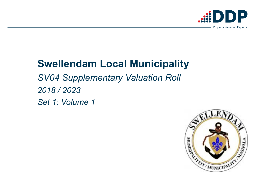# **Swellendam Local Municipality***SV04 Supplementary Valuation Roll2018 / 2023Set 1: Volume 1*



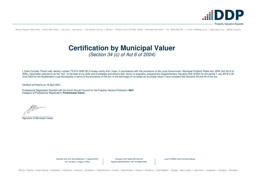Menlyn Square Office Park | North West Suite | 1st Floor | East Block | 134 Aramist Avenue | Menlyn | Pretoria 0181 | PO Box 40408 | Moreleta Park 0044 | Tel: 0800 060 200 | E-mail: info@ddp.co.za | www.ddp.co.za | @DDP Ex

## **Certification by Municipal Valuer** (Section 34 (c) of Act 6 of 2004)

I, Elsie Cornelia Theron with identity number 731014 0042 08 2 hereby certify that I have, in accordance with the provisions of the Local Government: Municipal Property Rates Act, 2004 (Act No 6 of 2004), hereinafter referred to as the "Act", to the best of my skills and knowledge and without fear, favour or prejudice, prepared the Supplementary Valuation Roll (SV04) for the period 1 July 2018 to 30 June 2023 for the Swellendam Local Municipality in terms of the provisions of the Act. In the discharge of my duties as municipal valuer I have complied with Sections 43 and 44 of the Act.

Certified at Pretoria on 16 April 2021.

Professional Registration Number with the South African Council for the Property Valuers Profession: **6831**Category of Professional Registration: **Professional Valuer**.

Mar.

\_\_\_\_\_\_\_\_\_\_\_\_\_\_\_\_\_\_\_\_\_\_\_ Signature of Municipal Valuer

> Directors: Adv. M.D. Xulu (Chairman) | T. Geyser (CEO) | M.J. De Beer | J. Voges | V. Riba

Company: DDP Values (RF) (Pty) Ltd Reg No 2003/007650/07 | VAT No 4660270564 Level 2 B-BBEE black owned enterprise

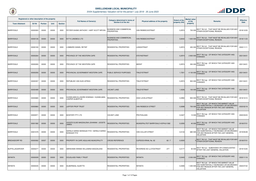|                         | Registered or other description of the property |                |             |                | <b>Full Names of Owner(s)</b>                                    | Category determined in terms of                     |                                        | <b>Extent of the</b> | <b>Market value</b><br>of the | <b>Remarks</b>                                                                                                                                     | <b>Effective</b> |
|-------------------------|-------------------------------------------------|----------------|-------------|----------------|------------------------------------------------------------------|-----------------------------------------------------|----------------------------------------|----------------------|-------------------------------|----------------------------------------------------------------------------------------------------------------------------------------------------|------------------|
| <b>Town Allotment</b>   | <b>Erf Nr</b>                                   | <b>Portion</b> | <b>Unit</b> | <b>Section</b> |                                                                  | <b>Section 8 of the Act</b>                         | Physical address of the property       | property (HA)        | property                      |                                                                                                                                                    | <b>Date</b>      |
| BARRYDALE               | 00000063                                        | 00000          | 00000       | 0000           | PETZER SHANE ANTHONY / HART SCOTT BRYAN                          | <b>BUSINESS AND COMMERCIAL</b><br><b>PROPERTIES</b> | <b>VAN RIEBEECKSTRAAT</b>              | 0,2974               | 700 000                       | SECT 78(1)(f) - THAT MUST BE REVALUED FOR ANY<br>OTHER EXCEPTIONAL REASON                                                                          | 2018/12/05       |
| <b>BARRYDALE</b>        | 00000126                                        | 00000          | 00000       | 0000           | <b>W P K LANDBOU LTD</b>                                         | <b>BUSINESS AND COMMERCIAL</b><br><b>PROPERTIES</b> | VAN RIEBEECKSTRAAT                     | 0,8442               |                               | 1 600 000 SECT 78(1)(f) - THAT MUST BE REVALUED FOR ANY<br>OTHER EXCEPTIONAL REASON                                                                | 2018/11/23       |
| <b>BARRYDALE</b>        | 00000183                                        | 00000          | 00000       | 0000           | LOMBARD DANIEL RETIEF                                            | <b>RESIDENTIAL PROPERTIES</b>                       | LAINGSTRAAT                            | 0,2974               | 450,000                       | SECT 78(1)(f) - THAT MUST BE REVALUED FOR ANY<br>OTHER EXCEPTIONAL REASON                                                                          | 2020/11/11       |
| <b>BARRYDALE</b>        | 00000264                                        | 00000          | 00000       | 0000           | <b>PROVINCE OF THE WESTERN CAPE</b>                              | <b>RESIDENTIAL PROPERTIES</b>                       | <b>STEYNSTRAAT</b>                     | 0,2974               | 2 800 000                     | $ SECTION 78(1)(g) - OF WHICH THE CATEGORY HAS$<br><b>CHANGED</b>                                                                                  | 2021/04/01       |
| <b>BARRYDALE</b>        | 00000265                                        | 00000          | 00000       | 0000           | <b>PROVINCE OF THE WESTERN CAPE</b>                              | <b>RESIDENTIAL PROPERTIES</b>                       | <b>MEENT</b>                           | 0,2974               | 350 000                       | SECT 78(1)(g) - OF WHICH THE CATEGORY HAS<br>CHANGED                                                                                               | 2021/04/01       |
| <b>BARRYDALE</b>        | 00000293                                        | 00000          | 00000       | 0000           | <b>PROVINCIAL GOVERNMENT-WESTERN CAPE</b>                        | <b>PUBLIC SERVICE PURPOSES</b>                      | <b>TINLEYSTRAAT</b>                    | 1,7201               | 4 100 000                     | SECT 78(1)(g) - OF WHICH THE CATEGORY HAS<br><b>CHANGED</b>                                                                                        | 2021/04/01       |
| <b>BARRYDALE</b>        | 00000357                                        | 00000          | 00000       | 0000           | REPUBLIEK VAN SUID-AFRIKA                                        | <b>RESIDENTIAL PROPERTIES</b>                       | <b>TINLEYSTRAAT</b>                    | 0,2974               | 900 000                       | SECT 78(1)(g) - OF WHICH THE CATEGORY HAS<br>CHANGED                                                                                               | 2021/04/01       |
| <b>BARRYDALE</b>        | 00000489                                        | 00000          | 00000       | 0000           | <b>PROVINCIAL GOVERNMENT-WESTERN CAPE</b>                        | <b>VACANT LAND</b>                                  | <b>TINLEYSTRAAT</b>                    | 1,0026               |                               | 150 000 SECT 78(1)(g) - OF WHICH THE CATEGORY HAS                                                                                                  | 2021/04/01       |
| BARRYDALE               | 00000680                                        | 00000          | 00000       | 0000           | HUSSELMAN ELLINORE EDWINAH / HUSSELMAN<br><b>CASPER ALBERTUS</b> | <b>RESIDENTIAL PROPERTIES</b>                       | <b>HIGH LEVELSTRAAT</b>                | 0,0992               | 900 000                       | SECT 78(1)(f) - THAT MUST BE REVALUED FOR ANY<br>OTHER EXCEPTIONAL REASON                                                                          | 2019/10/10       |
| <b>BARRYDALE</b>        | 00000860                                        | 00000          | 00000       | 0000           | <b>JUPITER PROP TRUST</b>                                        | RESIDENTIAL PROPERTIES                              | <b>VAN RIEBEECK STREET</b>             | 0,0698               | 700 00                        | SECT 78(1)(d) - OF WHICH THE MARKET VALUE<br>HAS SUBSTANTIALLY INCREASED OR DECREASED<br>FOR ANY REASON AFTER THE LAST GENERAL<br><b>VALUATION</b> | 2020/02/18       |
| <b>BARRYDALE</b>        | 00000971                                        | 00000          | 00000       | 0000           | MONTDRY PTY LTD                                                  | VACANT LAND                                         | PROTEALAAN<br>$\overline{\phantom{a}}$ | 0,0427               |                               | 13 000 SECT 78(1)(g) - OF WHICH THE CATEGORY HAS<br><b>CHANGED</b>                                                                                 | 2020/03/23       |
| <b>BARRYDALE</b>        | 00001582                                        | 00000          | 00000       | 0000           | JOOSTE ELSIE MAGDALENA JOHANNA / JOOSTE<br><b>JAMES</b>          | RESIDENTIAL PROPERTIES                              | MUNISIPALITEIT BARRYDALE HOPHUI1582    | 0,0293               | 40 000                        | SECT 78(1)(g) - OF WHICH THE CATEGORY HAS<br><b>CHANGED</b>                                                                                        | 2018/07/01       |
| <b>BARRYDALE</b>        | 00001678                                        | 00000          | 00000       | 0000           | GERALD SARAH MONIQUE FITZ / GERALD SARAH<br><b>NONIQUE FITZ</b>  | <b>RESIDENTIAL PROPERTIES</b>                       | VAN COLLER STREET                      | 0,5134               | 680 000                       | SECT 78(1)(d) - OF WHICH THE MARKET VALUE<br>HAS SUBSTANTIALLY INCREASED OR DECREASED<br>FOR ANY REASON AFTER THE LAST GENERAL<br>VALUATION        | 2019/05/28       |
| <b>BREDASDORP RD</b>    | 00000062                                        | 00007          | 00000       | 0000           | <b>PROPERTY IN CAPE AGULHAS MUNICIPALITY</b>                     | <b>CROSS REFERENCE</b>                              | 62/7<br>CUPIDOS KRAAL No. 62           | 0,0000               |                               | SECT 78(1)(f) - THAT MUST BE REVALUED FOR ANY\,<br>OTHER EXCEPTIONAL REASON                                                                        | 2018/07/01       |
| <b>BUFFELJAGSRIVIER</b> | 00000277                                        | 00000          | 00000       | 0000           | ABRAHAMS WINNIE WILLEMINA MAGDALENA                              | <b>RESIDENTIAL PROPERTIES</b>                       | 277<br><b>REVEREND AD LLOYDSTRAAT</b>  | 0,0177               |                               | SECT 78(1)(c) - SUBDIVIDED OR CONSOLIDATED<br>AFTER THE LAST GENERAL VALUATION                                                                     | 2019/10/25       |
| <b>INFANTA</b>          | 00000009                                        | 00000          | 00000       | 0000           | <b>DOUGLASS FAMILY TRUST</b>                                     | RESIDENTIAL PROPERTIES                              | <b>INFANTA</b>                         | 0,0443               |                               | 2 000 000 SECT 78(1)(g) - OF WHICH THE CATEGORY HAS<br><b>CHANGED</b>                                                                              | 2020/11/16       |
| <b>INFANTA</b>          | 00000045                                        | 00000          | 00000       | 0000           | <b>SILBERNAGL SUZETTE</b>                                        | RESIDENTIAL PROPERTIES                              | <b>INFANTA</b>                         | 0,0595               | 1 200 00                      | SECT 78(1)(d) - OF WHICH THE MARKET VALUE<br>HAS SUBSTANTIALLY INCREASED OR DECREASED<br>FOR ANY REASON AFTER THE LAST GENERAL<br><b>VALUATION</b> | 2020/07/22       |



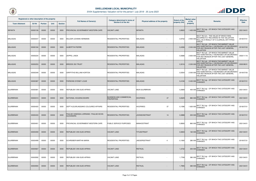

| Registered or other description of the property<br><b>Town Allotment</b> | <b>Erf Nr</b> | <b>Portion</b> | <b>Unit</b> | <b>Section</b> | <b>Full Names of Owner(s)</b>                              | Category determined in terms of<br>Section 8 of the Act | Physical address of the property | <b>Extent of the</b><br>property (HA) | <b>Market value</b><br>of the<br>property | <b>Remarks</b>                                                                                                                                     | <b>Effective</b><br><b>Date</b> |
|--------------------------------------------------------------------------|---------------|----------------|-------------|----------------|------------------------------------------------------------|---------------------------------------------------------|----------------------------------|---------------------------------------|-------------------------------------------|----------------------------------------------------------------------------------------------------------------------------------------------------|---------------------------------|
| <b>INFANTA</b>                                                           | 00000106      | 00000          | 00000       | 0000           | PROVINCIAL GOVERNMENT-WESTERN CAPE                         | <b>VACANT LAND</b>                                      | <b>INFANTA</b>                   | 0.8922                                | 1 400 000                                 | SECT 78(1)(g) - OF WHICH THE CATEGORY HAS<br><b>CHANGED</b>                                                                                        | 2021/04/01                      |
| <b>MALAGAS</b>                                                           | 00000047      | 00000          | 00000       | 0000           | MULDER JOHANN HERMANN                                      | <b>RESIDENTIAL PROPERTIES</b>                           | <b>MALAGAS</b>                   | 0.9752                                | 2 900 000                                 | SECT 78(1)(h) - THE VALUE OF WHICH WAS<br>INCORRECTLY RECORDED IN THE VALUATION<br>ROLL AS A RESULT OF A CLERICAL OR TYPING<br>ERROR.              | 2018/07/01                      |
| <b>MALAGAS</b>                                                           | 00000184      | 00000          | 00000       | 0000           | <b>ALBERTYN PIERRE</b>                                     | <b>RESIDENTIAL PROPERTIES</b>                           | <b>MALAGAS</b>                   | 0,4306                                | 2 000 00                                  | SECT 78(1)(d) - OF WHICH THE MARKET VALUE<br>HAS SUBSTANTIALLY INCREASED OR DECREASED<br>FOR ANY REASON AFTER THE LAST GENERAL<br><b>VALUATION</b> | 2019/07/02                      |
| <b>MALAGAS</b>                                                           | 00000234      | 00000          | 00000       | 0000           | <b>ZEPPEL LINDA</b>                                        | <b>RESIDENTIAL PROPERTIES</b>                           | <b>MALAGAS</b>                   | 0,5686                                | 2 600 000                                 | SECT 78(1)(d) - OF WHICH THE MARKET VALUE<br>HAS SUBSTANTIALLY INCREASED OR DECREASED<br>FOR ANY REASON AFTER THE LAST GENERAL<br><b>VALUATION</b> | 2020/11/16                      |
| <b>MALAGAS</b>                                                           | 00000253      | 00000          | 00000       | 0000           | <b>BREEDE 253 TRUST</b>                                    | <b>RESIDENTIAL PROPERTIES</b>                           | <b>MALAGAS</b>                   | 0,3016                                | 2 200 00                                  | SECT 78(1)(d) - OF WHICH THE MARKET VALUE<br>HAS SUBSTANTIALLY INCREASED OR DECREASED<br>FOR ANY REASON AFTER THE LAST GENERAL<br><b>VALUATION</b> | 2020/08/31                      |
| <b>MALAGAS</b>                                                           | 00000349      | 00000          | 00000       | 0000           | <b>GRIFFITHS WILLIAM HORTON</b>                            | <b>RESIDENTIAL PROPERTIES</b>                           | <b>MALAGAS</b>                   | 0,5554                                | 2 000 000                                 | SECT 78(1)(d) - OF WHICH THE MARKET VALUE<br>HAS SUBSTANTIALLY INCREASED OR DECREASED<br>FOR ANY REASON AFTER THE LAST GENERAL<br><b>VALUATION</b> | 2019/07/05                      |
| <b>MALAGAS</b>                                                           | 00000387      | 00000          | 00000       | 0000           | PARSONS SYDNEY LOUIE                                       | <b>RESIDENTIAL PROPERTIES</b>                           | <b>MALAGAS</b>                   | 0,4184                                | 3 400 000                                 | SECT 78(1)(g) - OF WHICH THE CATEGORY HAS<br><b>CHANGED</b>                                                                                        | 2018/07/01                      |
| <b>SUURBRAAK</b>                                                         | 00000081      | 00000          | 00000       | 0000           | REPUBLIEK VAN SUID-AFRIKA                                  | <b>VACANT LAND</b>                                      | <b>MUN SUURBRAAK</b>             | 0,2669                                | 400 000                                   | SECT 78(1)(g) - OF WHICH THE CATEGORY HAS<br><b>CHANGED</b>                                                                                        | 2021/04/01                      |
| <b>SUURBRAAK</b>                                                         | 00000310      | 00000          | 00000       | 0000           | NATIONAL HOUSING BOARD                                     | <b>BUSINESS AND COMMERCIAL</b><br><b>PROPERTIES</b>     | <b>HOOFWEG</b><br>47             | 0,2629                                | 880 000                                   | SECT 78(1)(g) - OF WHICH THE CATEGORY HAS<br><b>CHANGED</b>                                                                                        | 2021/04/01                      |
| <b>SUURBRAAK</b>                                                         | 00000420      | 00000          | 00000       | 0000           | DEPT KLEURLINGSAKE-COLOURED AFFAIRS                        | <b>RESIDENTIAL PROPERTIES</b>                           | 37<br><b>HOOFWEG</b>             | 0.1596                                | 1 630 000                                 | SECT 78(1)(g) - OF WHICH THE CATEGORY HAS<br>CHANGED                                                                                               | 2018/07/01                      |
| <b>SUURBRAAK</b>                                                         | 00000433      | 00000          | 00000       | 0000           | PAULSE VANESSA LORRAINE / PAULSE KEVIN<br><b>ALEXANDRA</b> | <b>RESIDENTIAL PROPERTIES</b>                           | <b>JOHNSONSTRAAT</b><br>14       | 0,0888                                |                                           | 200 000 SECT 78(1)(g) - OF WHICH THE CATEGORY HAS                                                                                                  | 2018/07/01                      |
| <b>SUURBRAAK</b>                                                         | 00000451      | 00000          | 00000       | 0000           | PROVINCIAL GOVERNMENT-WESTERN CAPE                         | <b>PUBLIC SERVICE PURPOSES</b>                          | <b>MANHOSTRAAT</b>               | 0,8565                                | 860 000                                   | SECT 78(1)(g) - OF WHICH THE CATEGORY HAS<br>CHANGED                                                                                               | 2021/04/01                      |
| <b>SUURBRAAK</b>                                                         | 00000459      | 00000          | 00000       | 0000           | REPUBLIEK VAN SUID-AFRIKA                                  | <b>VACANT LAND</b>                                      | <b>TITUSSTRAAT</b>               | 0,0833                                |                                           | 160 000 SECT 78(1)(g) - OF WHICH THE CATEGORY HAS                                                                                                  | 2021/04/01                      |
| <b>SUURBRAAK</b>                                                         | 00000499      | 00000          | 00000       | 0000           | <b>SCHREIBER MARTHA MARIA</b>                              | <b>RESIDENTIAL PROPERTIES</b>                           | <b>JAEGERSSTRAAT</b><br>4        | 0,1060                                | 280 000                                   | SECT 78(1)(g) - OF WHICH THE CATEGORY HAS<br><b>CHANGED</b>                                                                                        | 2019/07/31                      |
| <b>SUURBRAAK</b>                                                         | 00000567      | 00000          | 00000       | 0000           | REPUBLIEK VAN SUID-AFRIKA                                  | <b>VACANT LAND</b>                                      | RIETKUIL                         | 1,2732                                |                                           | 250 000 SECT 78(1)(g) - OF WHICH THE CATEGORY HAS                                                                                                  | 2021/04/01                      |
| <b>SUURBRAAK</b>                                                         | 00000592      | 00000          | 00000       | 0000           | REPUBLIEK VAN SUID-AFRIKA                                  | <b>VACANT LAND</b>                                      | RIETKUIL                         | 1,7769                                | 380 000                                   | SECT 78(1)(g) - OF WHICH THE CATEGORY HAS<br>CHANGED                                                                                               | 2021/04/01                      |
| <b>SUURBRAAK</b>                                                         | 00000594      | 00000          | 00000       | 0000           | REPUBLIEK VAN SUID-AFRIKA                                  | <b>VACANT LAND</b>                                      | RIETKUIL                         | 1,7995                                | 380 000                                   | SECT 78(1)(g) - OF WHICH THE CATEGORY HAS<br>CHANGED                                                                                               | 2021/04/01                      |

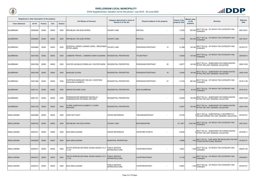

| Registered or other description of the property |               |                |             |                | <b>Full Names of Owner(s)</b>                                                      | Category determined in terms of                | Physical address of the property | <b>Extent of the</b> | <b>Market value</b><br>of the | <b>Remarks</b>                                                                                 | <b>Effective</b> |
|-------------------------------------------------|---------------|----------------|-------------|----------------|------------------------------------------------------------------------------------|------------------------------------------------|----------------------------------|----------------------|-------------------------------|------------------------------------------------------------------------------------------------|------------------|
| <b>Town Allotment</b>                           | <b>Erf Nr</b> | <b>Portion</b> | <b>Unit</b> | <b>Section</b> |                                                                                    | <b>Section 8 of the Act</b>                    |                                  | property (HA)        | property                      |                                                                                                | <b>Date</b>      |
| <b>SUURBRAAK</b>                                | 00000649      | 00000          | 00000       | 0000           | REPUBLIEK VAN SUID-AFRIKA                                                          | <b>VACANT LAND</b>                             | RIETKUIL                         | 1,3725               | 250 000                       | SECT 78(1)(g) - OF WHICH THE CATEGORY HAS<br><b>CHANGED</b>                                    | 2021/04/01       |
| <b>SUURBRAAK</b>                                | 00000659      | 00000          | 00000       | 0000           | <b>REPUBLIEK VAN SUID-AFRIKA</b>                                                   | <b>VACANT LAND</b>                             | RIETKUIL                         | 1,5794               |                               | 250 000 SECT 78(1)(g) - OF WHICH THE CATEGORY HAS<br><b>CHANGED</b>                            | 2021/04/01       |
| <b>SUURBRAAK</b>                                | 00000668      | 00000          | 00000       | 0000           | QUICKFALL WENDY JOANNE CAROL / BROCKMAN $\bigl _{\sf VACANT\ LAND}$<br>PETER JAMES |                                                | PERDEWAGTERSTRAAT<br>10          | 0,1398               | 130 000                       | SECT 78(1)(g) - OF WHICH THE CATEGORY HAS<br>CHANGED                                           | 2018/07/01       |
| <b>SUURBRAAK</b>                                | 00001056      | 00000          | 00000       | 0000           | LOMBARD FRIKKIE / LOMBARD SARAH SUSANNA                                            | <b>RESIDENTIAL PROPERTIES</b>                  | <b>TITUSSTRAAT</b>               | 0,0363               | 120 000                       | $\sqrt{\text{SECT}}$ 78(1)(g) - OF WHICH THE CATEGORY HAS<br><b>CHANGED</b>                    | 2020/08/13       |
| <b>SUURBRAAK</b>                                | 00001058      | 00000          | 00000       | 0000           | KOUTER JACOBUS CORNELIUS / KOUTER KARIN                                            | <b>IRESIDENTIAL PROPERTIES</b>                 | 20<br> PERDEWAGTERSTRAAT         | 0,0577               |                               | 140 000 SECT 78(1)(c) - SUBDIVIDED OR CONSOLIDATED<br>AFTER THE LAST GENERAL VALUATION         | 2020/10/09       |
| <b>SUURBRAAK</b>                                | 00001059      | 00000          | 00000       | 0000           | <b>BAADJIES GLORIA</b>                                                             | <b>RESIDENTIAL PROPERTIES</b>                  | 18<br><b>PERDEWAGTERSTRAAT</b>   | 0,0445               |                               | 130 000 SECT 78(1)(c) - SUBDIVIDED OR CONSOLIDATED<br>130 000 AFTER THE LAST GENERAL VALUATION | 2020/10/09       |
| <b>SUURBRAAK</b>                                | 00001086      | 00000          | 00000       | 0000           | EVERTSON MARQUEST DELVIN / EVERTSON<br>NICOLENE ELIZABETH                          | <b>RESIDENTIAL PROPERTIES</b>                  | 27<br>PERDEWAGTERSTRAAT          | 0,1076               | 280 000                       | SECT 78(1)(g) - OF WHICH THE CATEGORY HAS<br><b>CHANGED</b>                                    | 2018/11/29       |
| <b>SUURBRAAK</b>                                | 00001161      | 00000          | 00000       | 0000           | <b>MARAIS RICHARD JOHN</b>                                                         | <b>RESIDENTIAL PROPERTIES</b>                  | <b>MUN SUURBRAAK</b>             | 0,0720               |                               | 90 000 SECT 78(1)(g) - OF WHICH THE CATEGORY HAS                                               | 2019/10/31       |
| SUURBRAAK                                       | 00001181      | 00000          | 00000       | 0000           | PERDEWAGTER BARNADET MICHELLE<br>PERDEWAGTER RAYMOND ANTHONY                       | <b>RESIDENTIAL PROPERTIES</b>                  |                                  | 0.0452               | 100 000                       | SECT 78(1)(c) - SUBDIVIDED OR CONSOLIDATED<br>AFTER THE LAST GENERAL VALUATION                 | 2020/10/09       |
| <b>SUURBRAAK</b>                                | 00001182      | 00000          | 00000       | 0000           | FLORIS JOSEPHYN ELIZABETH / FLORIS<br><b>ANTHONY</b>                               | <b>RESIDENTIAL PROPERTIES</b>                  |                                  | 0,0457               |                               | 100 000 SECT 78(1)(c) - SUBDIVIDED OR CONSOLIDATED<br>100 000 AFTER THE LAST GENERAL VALUATION | 2020/10/09       |
| SWELLENDAM                                      | 00000088      | 00000          | 00000       | 0000           | <b>DOES NOT EXIST</b>                                                              | <b>CROSS REFERENCE</b>                         | <b>THEUNISSENSTRAAT</b>          | 0.0745               |                               | SECT 78(1)(e) - SUBSTANTIALLY INCORRECTLY<br>VALUED DURING THE LAST GENERAL VALUATION          | 2018/07/01       |
| <b>SWELLENDAM</b>                               | 00000153      | 00000          | 00000       | 0000           | <b>REPUBLIEK VAN SUID-AFRIKA</b>                                                   | <b>VACANT LAND</b>                             | <b>BONTEBOKPARK</b>              | 371,4977             | 2 200 000                     | SECT 78(1)(g) - OF WHICH THE CATEGORY HAS<br><b>CHANGED</b>                                    | 2021/04/01       |
| <b>SWELLENDAM</b>                               | 00000161      | 00000          | 00000       | 0000           | <b>MUN SWELLENDAM</b>                                                              | <b>CROSS REFERENCE</b>                         | <b>VOORTREK STRATA</b>           | 0,0200               |                               | SECT 78(1)(c) - SUBDIVIDED OR CONSOLIDATED<br>AFTER THE LAST GENERAL VALUATION                 | 2019/02/11       |
| <b>SWELLENDAM</b>                               | 00000209      | 00000          | 00000       | 0000           | <b>MUN SWELLENDAM</b>                                                              | MUNICIPAL PROPERTIES                           |                                  | 0,0996               |                               | 1 000 SECT 78(1)(f) - THAT MUST BE REVALUED FOR ANY<br>OTHER EXCEPTIONAL REASON                | 2018/07/01       |
| SWELLENDAM                                      | 00000210      | 00000          | 00000       | 0000           | SOUTH AFRICAN NATIONAL ROADS AGENCY SO<br>C LTD                                    | <b>PUBLIC SERVICE</b><br><b>INFRASTRUCTURE</b> | VOORTREKSTRAAT                   | 1,5631               | 1 000                         | SECT 78(1)(g) - OF WHICH THE CATEGORY HAS<br><b>CHANGED</b>                                    | 2020/01/22       |
| <b>SWELLENDAM</b>                               | 00000213      | 00000          | 00000       | 0000           | SOUTH AFRICAN NATIONAL ROADS AGENCY SO<br>C LTD                                    | <b>PUBLIC SERVICE</b><br><b>INFRASTRUCTURE</b> | <b>VOORTREKSTRAAT</b>            | 0,1476               |                               | $1,000$ SECT 78(1)(g) - OF WHICH THE CATEGORY HAS<br><b>CHANGED</b>                            | 2020/08/31       |
| SWELLENDAM                                      | 00000215      | 00000          | 00000       | 0000           | <b>MUN SWELLENDAM</b>                                                              | <b>PUBLIC SERVICE</b><br><b>INFRASTRUCTURE</b> | <b>VOORTREKSTRAAT</b>            | 0,0681               | 1 0 0 0                       | SECT 78(1)(g) - OF WHICH THE CATEGORY HAS<br>CHANGED                                           | 2018/07/01       |

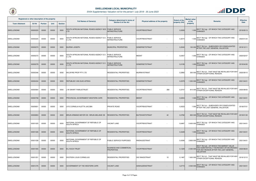

| Registered or other description of the property |               |                |             |                | <b>Full Names of Owner(s)</b>                                  | Category determined in terms of                | Physical address of the property | <b>Extent of the</b> | <b>Market value</b><br>of the | <b>Remarks</b>                                                                                                                                     | <b>Effective</b> |
|-------------------------------------------------|---------------|----------------|-------------|----------------|----------------------------------------------------------------|------------------------------------------------|----------------------------------|----------------------|-------------------------------|----------------------------------------------------------------------------------------------------------------------------------------------------|------------------|
| <b>Town Allotment</b>                           | <b>Erf Nr</b> | <b>Portion</b> | <b>Unit</b> | <b>Section</b> |                                                                | <b>Section 8 of the Act</b>                    |                                  | property (HA)        | property                      |                                                                                                                                                    | <b>Date</b>      |
| <b>SWELLENDAM</b>                               | 00000220      | 00000          | 00000       | 0000           | SOUTH AFRICAN NATIONAL ROADS AGENCY SOC PUBLIC SERVICE<br>LTD  | <b>INFRASTRUCTURE</b>                          | <b>VOORTREKSTRAAT</b>            | 0,0093               | 1.000                         | )SECT 78(1)(g) - OF WHICH THE CATEGORY HAS<br>CHANGED                                                                                              | 2019/05/13       |
| SWELLENDAM                                      | 00000225      | 00000          | 00000       | 0000           | SOUTH AFRICAN NATIONAL ROADS AGENCY SO PUBLIC SERVICE<br>C LTD | <b>INFRASTRUCTURE</b>                          | VOORTREKSTRAAT                   | 0,3074               | 1 0 0 0                       | SECT 78(1)(g) - OF WHICH THE CATEGORY HAS<br>CHANGED                                                                                               | 2020/01/24       |
| <b>SWELLENDAM</b>                               | 00000270      | 00000          | 00000       | 0000           | <b>BUIRSKI JOSEPH</b>                                          | <b>MUNICIPAL PROPERTIES</b>                    | <b>SOMERSETSTRAAT</b>            | 0,2040               |                               | 100 000 SECT 78(1)(c) - SUBDIVIDED OR CONSOLIDATED<br>AFTER THE LAST GENERAL VALUATION                                                             | 2019/12/11       |
| SWELLENDAM                                      | 00000272      | 00000          | 00000       | 0000           | SOUTH AFRICAN NATIONAL ROADS AGENCY SO<br>C LTD                | <b>PUBLIC SERVICE</b><br><b>INFRASTRUCTURE</b> | <b>MEENT</b>                     | 0,0457               | 1 0 0 0                       | SECT 78(1)(g) - OF WHICH THE CATEGORY HAS<br>CHANGED                                                                                               | 2020/02/07       |
| <b>SWELLENDAM</b>                               | 00000278      | 00000          | 00000       | 0000           | SOUTH AFRICAN NATIONAL ROADS AGENCY SO<br>C LTD                | <b>PUBLIC SERVICE</b><br><b>INFRASTRUCTURE</b> | <b>SOMERSETSTRAAT</b>            | 0,0195               |                               | 1 000 SECT 78(1)(g) - OF WHICH THE CATEGORY HAS                                                                                                    | 2019/04/30       |
| SWELLENDAM                                      | 00000346      | 00000          | 00000       | 0000           | <b>WILDFIRE PROP PTY LTD</b>                                   | RESIDENTIAL PROPERTIES                         | MURRAYSTRAAT                     | 0,2892               | 300 000                       | SECT 78(1)(f) - THAT MUST BE REVALUED FOR ANY<br>OTHER EXCEPTIONAL REASON                                                                          | 2020/09/10       |
| <b>SWELLENDAM</b>                               | 00000434      | 00000          | 00000       | 0000           | <b>REPUBLIEK VAN SUID-AFRIKA</b>                               | RESIDENTIAL PROPERTIES                         | SOMERSETSTRAAT                   | 0,2379               | 1 200 000                     | SECT 78(1)(g) - OF WHICH THE CATEGORY HAS<br>CHANGED                                                                                               | 2021/04/01       |
| SWELLENDAM                                      | 00000564      | 00000          | 00000       | 0000           | <b>J W SWART FAMILIETRUST</b>                                  | <b>RESIDENTIAL PROPERTIES</b>                  | <b>VOORTREKSTRAAT</b><br>280     | 0,3747               |                               | 810 000 SECT 78(1)(f) - THAT MUST BE REVALUED FOR ANY<br>810 000 OTHER EXCEPTIONAL REASON                                                          | 2020/08/05       |
| <b>SWELLENDAM</b>                               | 00000708      | 00000          | 00000       | 0000           | <b>PROVINCIAL GOVERNMENT-WESTERN CAPE</b>                      | <b>RESIDENTIAL PROPERTIES</b>                  | <b>MEENT</b>                     | 0,0204               | 1 0 0 0                       | SECT 78(1)(g) - OF WHICH THE CATEGORY HAS                                                                                                          | 2021/04/01       |
| SWELLENDAM                                      | 00000831      | 00000          | 00000       | 0000           | UYS CORNELIA ALETTA JACOBA                                     | <b>PRIVATE ROAD</b>                            | <b>VOORTREKSTRAAT</b>            | 0,0023               |                               | SECT 78(1)(c) - SUBDIVIDED OR CONSOLIDATED<br>AFTER THE LAST GENERAL VALUATION                                                                     | 2018/07/01       |
| <b>SWELLENDAM</b>                               | 00000853      | 00000          | 00000       | 0000           | BRUIN ARMAND MEYER DE / BRUIN MELANIE DE                       | <b>RESIDENTIAL PROPERTIES</b>                  | 42<br>BUITEKANTSTRAAT            | 0,0782               |                               | 830 000 SECT 78(1)(f) - THAT MUST BE REVALUED FOR ANY<br>OTHER EXCEPTIONAL REASON                                                                  | 2019/01/30       |
| SWELLENDAM                                      | 00001025      | 00000          | 00000       | 0000           | NATIONAL GOVERNMENT OF REPUBLIC OF<br><b>SOUTH AFRICA</b>      | <b>VACANT LAND</b>                             | VOORTREKSTRAAT                   | 0,6487               |                               | 5 600 000 SECT 78(1)(g) - OF WHICH THE CATEGORY HAS<br><b>CHANGED</b>                                                                              | 2021/04/01       |
| <b>SWELLENDAM</b>                               | 00001026      | 00000          | 00000       | 0000           | NATIONAL GOVERNMENT OF REPUBLIC OF<br><b>SOUTH AFRICA</b>      | <b>RESIDENTIAL PROPERTIES</b>                  | <b>VOORTREKSTRAAT</b>            | 0,3428               | 1 000                         | SECT 78(1)(g) - OF WHICH THE CATEGORY HAS<br>CHANGED                                                                                               | 2021/04/01       |
| SWELLENDAM                                      | 00001038      | 00000          | 00000       | 0000           | NATIONAL GOVERNMENT OF REPUBLIC OF<br><b>SOUTH AFRICA</b>      | <b>PUBLIC SERVICE PURPOSES</b>                 | RHENIUSSTRAAT                    | 0,4346               | 3 800 000                     | SECT 78(1)(g) - OF WHICH THE CATEGORY HAS<br><b>CHANGED</b>                                                                                        | 2021/04/01       |
| <b>SWELLENDAM</b>                               | 00001055      | 00000          | 00000       | 0000           | M J KOCH TRUST                                                 | BUSINESS AND COMMERCIAL<br><b>PROPERTIES</b>   | <b>VOORTREKSTRAAT</b>            | 0,1229               | 2 350 000                     | SECT 78(1)(d) - OF WHICH THE MARKET VALUE<br>HAS SUBSTANTIALLY INCREASED OR DECREASED<br>FOR ANY REASON AFTER THE LAST GENERAL<br><b>VALUATION</b> | 2020/08/24       |
| SWELLENDAM                                      | 00001251      | 00000          | 00000       | 0000           | <b>EKSTEEN LOUIS CORNELIUS</b>                                 | <b>RESIDENTIAL PROPERTIES</b>                  | 15<br><b>DIE RANDSTRAAT</b>      | 0,1487               | 1 600 000                     | SECT 78(1)(f) - THAT MUST BE REVALUED FOR ANY<br>OTHER EXCEPTIONAL REASON                                                                          | 2019/12/12       |
| <b>SWELLENDAM</b>                               | 00001276      | 00000          | 00000       | 0000           | GOVERNMENT OF THE WESTERN CAPE                                 | <b>VACANT LAND</b>                             | AANHUIZENSTRAAT                  | 3,2773               |                               | 3 500 000 SECT 78(1)(g) - OF WHICH THE CATEGORY HAS                                                                                                | 2021/04/01       |

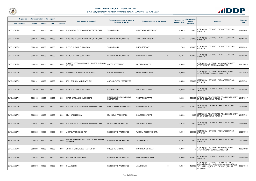

| Registered or other description of the property |               |                |             | <b>Full Names of Owner(s)</b> | Category determined in terms of                          | Physical address of the property             | <b>Extent of the</b>                              | <b>Market value</b><br>of the | <b>Remarks</b> | <b>Effective</b>                                                                                                                                   |             |
|-------------------------------------------------|---------------|----------------|-------------|-------------------------------|----------------------------------------------------------|----------------------------------------------|---------------------------------------------------|-------------------------------|----------------|----------------------------------------------------------------------------------------------------------------------------------------------------|-------------|
| <b>Town Allotment</b>                           | <b>Erf Nr</b> | <b>Portion</b> | <b>Unit</b> | <b>Section</b>                |                                                          | <b>Section 8 of the Act</b>                  |                                                   | property (HA)                 | property       |                                                                                                                                                    | <b>Date</b> |
| SWELLENDAM                                      | 00001277      | 00000          | 00000       | 0000                          | PROVINCIAL GOVERNMENT-WESTERN CAPE                       | <b>VACANT LAND</b>                           | <b>ANDREW WHYTESTRAAT</b>                         | 0,3570                        | 800 000        | SECT 78(1)(g) - OF WHICH THE CATEGORY HAS<br><b>CHANGED</b>                                                                                        | 2021/04/01  |
| <b>SWELLENDAM</b>                               | 00001287      | 00000          | 00000       | 0000                          | PROVINCIAL GOVERNMENT-WESTERN CAPE                       | <b>RESIDENTIAL PROPERTIES</b>                | <b>ANDREW WHYTESTRAAT</b>                         | 0,1479                        | 920 000        | SECT 78(1)(g) - OF WHICH THE CATEGORY HAS<br><b>CHANGED</b>                                                                                        | 2021/04/01  |
| <b>SWELLENDAM</b>                               | 00001355      | 00000          | 00000       | 0000                          | REPUBLIEK VAN SUID-AFRIKA                                | <b>VACANT LAND</b>                           | <b>DU TOITSTRAAT</b>                              | 1,7845                        | 1 400 000      | SECT 78(1)(g) - OF WHICH THE CATEGORY HAS<br><b>CHANGED</b>                                                                                        | 2021/04/01  |
| <b>SWELLENDAM</b>                               | 00001363      | 00000          | 00000       | 0000                          | <b>REPUBLIEK VAN SUID-AFRIKA</b>                         | <b>RESIDENTIAL PROPERTIES</b>                | 25<br>BUITEKANTSTRAAT                             | 0,1964                        | 1 400 000      | SECT 78(1)(g) - OF WHICH THE CATEGORY HAS<br><b>CHANGED</b>                                                                                        | 2021/04/01  |
| SWELLENDAM                                      | 00001499      | 00000          | 00000       | 0000                          | HUNTER REBECCA AMANDA / HUNTER ANTHONY<br><b>STEPHEN</b> | CROSS REFERENCE                              | <b>GLEN BARRYWEG</b><br>12                        | 0,0000                        |                | $\sqrt{\text{SECT}}$ 78(1)(c) - SUBDIVIDED OR CONSOLIDATED<br>AFTER THE LAST GENERAL VALUATION                                                     | 2020/08/13  |
| <b>SWELLENDAM</b>                               | 00001504      | 00000          | 00000       | 0000                          | WEBBER JOY PATRICIA-TRUSTEES                             | <b>CROSS REFERENCE</b>                       | <b>QUAELBERGSTRAAT</b><br>11                      | 0,0000                        |                | $\sqrt{\text{SECT}}$ 78(1)(c) - SUBDIVIDED OR CONSOLIDATED<br>AFTER THE LAST GENERAL VALUATION                                                     | 2020/03/10  |
| <b>SWELLENDAM</b>                               | 00001641      | 00000          | 00000       | 0000                          | ZYL HENDRIKA MALAN VAN B-E                               | <b>AGRICULTURAL PROPERTIES</b>               |                                                   | 0.8565                        | 650 000        | SECT 78(1)(g) - OF WHICH THE CATEGORY HAS<br><b>CHANGED</b>                                                                                        | 2018/07/01  |
| <b>SWELLENDAM</b>                               | 00001699      | 00000          | 00000       | 0000                          | <b>REPUBLIEK VAN SUID-AFRIKA</b>                         | <b>VACANT LAND</b>                           | <b>VOORTREKSTRAAT</b>                             | 1 376,8800                    |                | 6 900 000 SECT 78(1)(g) - OF WHICH THE CATEGORY HAS                                                                                                | 2021/04/01  |
| SWELLENDAM                                      | 00001933      | 00000          | 00000       | 0000                          | FIRST NAT BANK HOLDINGS LTD                              | <b>BUSINESS AND COMMERCIAL</b><br>PROPERTIES | <b>VOORTREKSTRAAT</b>                             | 0,0621                        | 1 900 000      | SECT 78(1)(f) - THAT MUST BE REVALUED FOR ANY<br>OTHER EXCEPTIONAL REASON                                                                          | 2018/10/17  |
| <b>SWELLENDAM</b>                               | 00002064      | 00000          | 00000       | 0000                          | <b>PROVINCIAL GOVERNMENT-WESTERN CAPE</b>                | <b>PUBLIC SERVICE PURPOSES</b>               | <b>REISIEBAANSTRAAT</b>                           | 1,7825                        | 1 400 000      | SECT 78(1)(g) - OF WHICH THE CATEGORY HAS<br>CHANGED                                                                                               | 2021/04/01  |
| SWELLENDAM                                      | 00002090      | 00000          | 00000       | 0000                          | <b>MUN SWELLENDAM</b>                                    | <b>MUNICIPAL PROPERTIES</b>                  | <b>BONTEBOKSTRAAT</b><br>$\overline{\phantom{a}}$ | 0,8202                        | 1 000          | SECT 78(1)(f) - THAT MUST BE REVALUED FOR ANY<br>OTHER EXCEPTIONAL REASON                                                                          | 2018/07/01  |
| <b>SWELLENDAM</b>                               | 00002161      | 00000          | 00000       | 0000                          | <b>PROVINCIAL GOVERNMENT-WESTERN CAPE</b>                | <b>INDUSTRIAL PROPERTIES</b>                 | <b>VOORTREKSTRAAT</b>                             | 2,6134                        | 1 000 000      | SECT 78(1)(g) - OF WHICH THE CATEGORY HAS<br>CHANGED                                                                                               | 2021/04/01  |
| <b>SWELLENDAM</b>                               | 00002218      | 00000          | 00000       | 0000                          | <b>ANDREW TERRENCE ROY</b>                               | <b>RESIDENTIAL PROPERTIES</b>                | <b>WILLIAM ROBERTSONSTR.</b>                      | 0,0916                        |                | 1 200 000 SECT 78(1)(g) - OF WHICH THE CATEGORY HAS                                                                                                | 2020/09/10  |
| <b>SWELLENDAM</b>                               | 00002229      | 00000          | 00000       | 0000                          | BOTES JOHANNES NICOLAAS / BOTES RENSKE<br><b>JOHANNA</b> | <b>RESIDENTIAL PROPERTIES</b>                | <b>TILNEYSTRAAT</b>                               | 0,1912                        |                | 1 000 000 SECT 78(1)(g) - OF WHICH THE CATEGORY HAS                                                                                                | 2020/09/08  |
| SWELLENDAM                                      | 00002290      | 00000          | 00000       | 0000                          | JOHAN & CHRISTELLE FAMILIETRUST                          | <b>CROSS REFERENCE</b>                       | KORINGLANDSTRAAT<br>$\overline{\phantom{a}}$      | 0,0000                        |                | SECT 78(1)(c) - SUBDIVIDED OR CONSOLIDATED<br>AFTER THE LAST GENERAL VALUATION                                                                     | 2020/09/23  |
| <b>SWELLENDAM</b>                               | 00002352      | 00000          | 00000       | 0000                          | <b>COCKER MICHELE ANNE</b>                               | RESIDENTIAL PROPERTIES                       | <b>MIKE MULLERSTRAAT</b>                          | 0,0594                        |                | 750 000 SECT 78(1)(g) - OF WHICH THE CATEGORY HAS<br><b>CHANGED</b>                                                                                | 2019/05/30  |
| SWELLENDAM                                      | 00002378      | 00000          | 00000       | 0000                          | <b>KLAASE LISA</b>                                       | RESIDENTIAL PROPERTIES                       | 56<br>AKASIALAAN                                  | 0,0515                        | 150 00         | SECT 78(1)(d) - OF WHICH THE MARKET VALUE<br>HAS SUBSTANTIALLY INCREASED OR DECREASED<br>FOR ANY REASON AFTER THE LAST GENERAL<br><b>VALUATION</b> | 2020/10/16  |

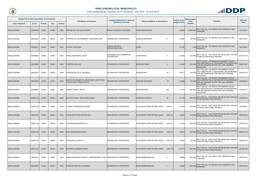

| Registered or other description of the property |               |                |             |                | <b>Full Names of Owner(s)</b>                                            | Category determined in terms of                     | Physical address of the property   | <b>Extent of the</b>         | <b>Market value</b><br>of the | <b>Remarks</b>                                                                                                                                     | <b>Effective</b> |
|-------------------------------------------------|---------------|----------------|-------------|----------------|--------------------------------------------------------------------------|-----------------------------------------------------|------------------------------------|------------------------------|-------------------------------|----------------------------------------------------------------------------------------------------------------------------------------------------|------------------|
| <b>Town Allotment</b>                           | <b>Erf Nr</b> | <b>Portion</b> | <b>Unit</b> | <b>Section</b> |                                                                          | Section 8 of the Act                                |                                    | property (HA)                | property                      |                                                                                                                                                    | <b>Date</b>      |
| <b>SWELLENDAM</b>                               | 00002399      | 00000          | 00000       | 0000           | <b>REPUBLIEK VAN SUID-AFRIKA</b>                                         | <b>PUBLIC SERVICE PURPOSES</b>                      | <b>AANHUIZENSTRAAT</b>             | 2,3234                       |                               | 12 500 000 SECT 78(1)(g) - OF WHICH THE CATEGORY HAS<br><b>CHANGED</b>                                                                             | 2021/04/01       |
| SWELLENDAM                                      | 00002645      | 00000          | 00000       | 0000           | <b>PROVINCIAL GOVERNMENT-WESTERN CAPE</b>                                | RESIDENTIAL PROPERTIES                              | <b>SIEGELAARSTRAAT</b>             | 0,0595<br>41                 | 180 000                       | SECT 78(1)(g) - OF WHICH THE CATEGORY HAS<br>CHANGED                                                                                               | 2021/04/01       |
| <b>SWELLENDAM</b>                               | 00002657      | 00000          | 00000       | 0000           | <b>ROADS TRUSTEES</b>                                                    | <b>PUBLIC SERVICE</b><br><b>INFRASTRUCTURE</b>      | <b>PAAIE</b>                       | 0,0180                       | 1.00 <sub>C</sub>             | SECT 78(1)(g) - OF WHICH THE CATEGORY HAS<br>CHANGED                                                                                               | 2021/04/01       |
| SWELLENDAM                                      | 00002698      | 00000          | 00000       | 0000           | <b>SWELLENDUIMPIE TRUST</b>                                              | <b>BUSINESS AND COMMERCIAL</b><br><b>PROPERTIES</b> | <b>LINDSTRAAT</b>                  | -3<br>0,2042                 | 1 100 000                     | SECT 78(1)(f) - THAT MUST BE REVALUED FOR ANY<br>OTHER EXCEPTIONAL REASON                                                                          | 2019/12/04       |
| <b>SWELLENDAM</b>                               | 00002806      | 00000          | 00000       | 0000           | <b>COETZEE WILLEM</b>                                                    | <b>RESIDENTIAL PROPERTIES</b>                       | <b>BUIRSKISTRAAT</b>               | 3<br>0,1088                  | 1 300 00                      | SECT 78(1)(d) - OF WHICH THE MARKET VALUE<br>HAS SUBSTANTIALLY INCREASED OR DECREASED<br>FOR ANY REASON AFTER THE LAST GENERAL<br><b>VALUATION</b> | 2020/12/07       |
| SWELLENDAM                                      | 00002947      | 00000          | 00000       | 0000           | <b>DIEDERICKS FELIX JACOBUS</b>                                          | <b>RESIDENTIAL PROPERTIES</b>                       | AKASIALAAN                         | 94<br>0,0317                 | 120 000                       | SECT 78(1)(d) - OF WHICH THE MARKET VALUE<br>HAS SUBSTANTIALLY INCREASED OR DECREASED<br>FOR ANY REASON AFTER THE LAST GENERAL<br><b>VALUATION</b> | 2020/07/22       |
| <b>SWELLENDAM</b>                               | 00003382      | 00000          | 00000       | 0000           | MATTHYSE JEANETTE JOSEPHINE / MATTHYSE<br><b>CHRISTIAAN CHRISTOFFELS</b> | RESIDENTIAL PROPERTIES                              | <b>SOUFIETJIESTRAAT</b>            | 19<br>0,0489                 | 100 000                       | SECT 78(1)(d) - OF WHICH THE MARKET VALUE<br>HAS SUBSTANTIALLY INCREASED OR DECREASED<br>FOR ANY REASON AFTER THE LAST GENERAL<br><b>VALUATION</b> | 2020/08/14       |
| <b>SWELLENDAM</b>                               | 00003635      | 00000          | 00000       | 0000           | <b>IMEGBY FAMILY TRUST</b>                                               | <b>RESIDENTIAL PROPERTIES</b>                       | BERGSIGLAAN                        | 3B<br>0,1377                 | 1 230 000                     | SECT 78(1)(d) - OF WHICH THE MARKET VALUE<br>HAS SUBSTANTIALLY INCREASED OR DECREASED<br>FOR ANY REASON AFTER THE LAST GENERAL<br><b>VALUATION</b> | 2019/04/17       |
| <b>SWELLENDAM</b>                               | 00004116      | 00000          | 00000       | 0000           | BOTHA LETISIA / BOTHA BENJAMIN                                           | <b>RESIDENTIAL PROPERTIES</b>                       | <b>SOMERSETSTRAAT</b>              | 40<br>0,1106                 | 930 000                       | ) SECT 78(1)(f) - THAT MUST BE REVALUED FOR ANY<br>  OTHER EXCEPTIONAL REASON                                                                      | 2019/09/16       |
| SWELLENDAM                                      | 00004136      | 00000          | 00004       | 0000           | <b>SCHMITT MARIANNE HELENA</b>                                           | RESIDENTIAL PROPERTIES                              | <b>ISS ROTARY PARK AFTREE-OORD</b> | UNIT <sub>4</sub><br>0.0132  | 1 100 000                     | SECT 78(1)(f) - THAT MUST BE REVALUED FOR ANY<br>OTHER EXCEPTIONAL REASON                                                                          | 2019/05/07       |
| <b>SWELLENDAM</b>                               | 00004136      | 00000          | 00044       | 0000           | <b>HEUSDEN PETER ANTON VAN</b>                                           | RESIDENTIAL PROPERTIES                              | ISS ROTARY PARK AFTREE-OORD        | 0,0087<br>UNIT <sub>44</sub> | 740 000                       | SECT 78(1)(f) - THAT MUST BE REVALUED FOR ANY<br>OTHER EXCEPTIONAL REASON                                                                          | 2020/09/10       |
| SWELLENDAM                                      | 00004136      | 00000          | 00052       | 0000           | KOENIBA BELEGGINGS C C                                                   | RESIDENTIAL PROPERTIES                              | <b>ISS ROTARY PARK AFTREE-OORD</b> | <b>UNIT 52</b><br>0,0155     | 1 200 00                      | SECT 78(1)(f) - THAT MUST BE REVALUED FOR ANY<br>OTHER EXCEPTIONAL REASON                                                                          | 2019/01/22       |
| <b>SWELLENDAM</b>                               | 00004136      | 00000          | 00055       | 0000           | KOK MARIA MAGDALENA                                                      | RESIDENTIAL PROPERTIES                              | <b>ISS ROTARY PARK AFTREE-OORD</b> | <b>UNIT 55</b><br>0,0097     |                               | 820 000 SECT 78(1)(f) - THAT MUST BE REVALUED FOR ANY<br>820 000 OTHER EXCEPTIONAL REASON                                                          | 2020/10/19       |
| <b>SWELLENDAM</b>                               | 00004136      | 00000          | 00062       | 0000           | BUITENDAG JOAN IVY                                                       | RESIDENTIAL PROPERTIES                              | ISS ROTARY PARK AFTREE-OORD        | 0,0087<br><b>UNIT 62</b>     | 740 000                       | SECT 78(1)(f) - THAT MUST BE REVALUED FOR ANY<br>OTHER EXCEPTIONAL REASON                                                                          | 2020/09/10       |
| <b>SWELLENDAM</b>                               | 00004136      | 00000          | 00103       | 0000           | PIETMAN LOURENS TRUST                                                    | <b>RESIDENTIAL PROPERTIES</b>                       | <b>ISS ROTARY PARK AFTREE-OORD</b> | <b>UNIT 103</b><br>0,0172    | 1 400 000                     | SECT 78(1)(f) - THAT MUST BE REVALUED FOR ANY<br>OTHER EXCEPTIONAL REASON                                                                          | 2019/01/22       |
| SWELLENDAM                                      | 00004519      | 00000          | 00000       | 0000           | PIMM JONATHAN GILBURT / PIMM BEVERLEY GAIL RESIDENTIAL PROPERTIES        |                                                     | <b>BLOEKOMBOOMLAAN</b>             | 0,0890<br>9                  | 1 200 000                     | SECT 78(1)(g) - OF WHICH THE CATEGORY HAS<br><b>CHANGED</b>                                                                                        | 2019/10/01       |
| <b>SWELLENDAM</b>                               | 00004520      | 00000          | 00000       | 0000           | NIEMAND MARTIN JOHANNES                                                  | RESIDENTIAL PROPERTIES                              | <b>BLOEKOMBOOMLAAN</b>             | 0,0906<br>11                 |                               | 1 800 000 SECT 78(1)(g) - OF WHICH THE CATEGORY HAS                                                                                                | 2020/12/03       |

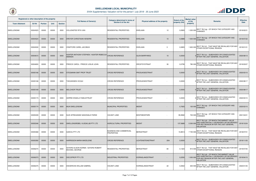

| Registered or other description of the property |               |                |             |                |                                                                          | Category determined in terms of                     |                                  |                          | <b>Extent of the</b> | <b>Market value</b> |                                                                                                                                                    | <b>Effective</b> |
|-------------------------------------------------|---------------|----------------|-------------|----------------|--------------------------------------------------------------------------|-----------------------------------------------------|----------------------------------|--------------------------|----------------------|---------------------|----------------------------------------------------------------------------------------------------------------------------------------------------|------------------|
| <b>Town Allotment</b>                           | <b>Erf Nr</b> | <b>Portion</b> | <b>Unit</b> | <b>Section</b> | <b>Full Names of Owner(s)</b>                                            | Section 8 of the Act                                | Physical address of the property |                          | property (HA)        | of the<br>property  | <b>Remarks</b>                                                                                                                                     | <b>Date</b>      |
| SWELLENDAM                                      | 00004523      | 00000          | 00000       | 0000           | <b>VOLLENSTEE RITA VAN</b>                                               | <b>RESIDENTIAL PROPERTIES</b>                       | <b>EIKELAAN</b>                  | 12                       | 0,0905               | 1 200 000           | SECT 78(1)(g) - OF WHICH THE CATEGORY HAS<br><b>CHANGED</b>                                                                                        | 2019/02/21       |
| <b>SWELLENDAM</b>                               | 00004524      | 00000          | 00000       | 0000           | <b>DREYER CHRISTIAAN HENDRIK</b>                                         | <b>RESIDENTIAL PROPERTIES</b>                       | <b>EIKELAAN</b>                  | 10                       | 0,0888               | 1 500 000           | SECT 78(1)(g) - OF WHICH THE CATEGORY HAS<br><b>CHANGED</b>                                                                                        | 2019/07/22       |
| SWELLENDAM                                      | 00004530      | 00000          | 00000       | 0000           | <b>CRAFFORD CAREL JACOBUS</b>                                            | <b>RESIDENTIAL PROPERTIES</b>                       | <b>EIKELAAN</b>                  | -3                       | 0,0805               | 1 600 000           | SECT 78(1)(f) - THAT MUST BE REVALUED FOR ANY<br>OTHER EXCEPTIONAL REASON                                                                          | 2019/01/01       |
| <b>SWELLENDAM</b>                               | 00004615      | 00000          | 00000       | 0000           | HUNTER ANTHONY STEPHEN / HUNTER REBECCA CROSS REFERENCE<br><b>AMANDA</b> |                                                     | <b>GLEN BARRYWEG</b>             | 10                       | 0,0000               |                     | SECT 78(1)(c) - SUBDIVIDED OR CONSOLIDATED<br>AFTER THE LAST GENERAL VALUATION                                                                     | 2020/08/13       |
| SWELLENDAM                                      | 00004650      | 00000          | 00000       | 0000           | <b>PREECE CAROL / PREECE LESLIE JOHN</b>                                 | <b>RESIDENTIAL PROPERTIES</b>                       | <b>DROSTDYSTRAAT</b>             | 30                       | 0,0795               | 780 000             | SECT 78(1)(f) - THAT MUST BE REVALUED FOR ANY<br>OTHER EXCEPTIONAL REASON                                                                          | 2019/03/07       |
| <b>SWELLENDAM</b>                               | 00005166      | 00000          | 00000       | 0000           | <b>STEGMANN SMIT PROP TRUST</b>                                          | <b>CROSS REFERENCE</b>                              | PRODUKSIESTRAAT                  |                          | 0,0000               |                     | SECT 78(1)(c) - SUBDIVIDED OR CONSOLIDATED<br>AFTER THE LAST GENERAL VALUATION                                                                     | 2020/03/10       |
| SWELLENDAM                                      | 00005168      | 00000          | 00000       | 0000           | THEUNISSEN VICQUI                                                        | <b>CROSS REFERENCE</b>                              | PRODUKSIESTRAAT                  |                          | 0,0000               |                     | SECT 78(1)(c) - SUBDIVIDED OR CONSOLIDATED<br>AFTER THE LAST GENERAL VALUATION                                                                     | 2020/08/17       |
| <b>SWELLENDAM</b>                               | 00005169      | 00000          | 00000       | 0000           | <b>MELCHIOR TRUST</b>                                                    | <b>CROSS REFERENCE</b>                              | PRODUKSIESTRAAT                  |                          | 0,0000               |                     | SECT 78(1)(c) - SUBDIVIDED OR CONSOLIDATED,<br>AFTER THE LAST GENERAL VALUATION                                                                    | 2020/08/17       |
| SWELLENDAM                                      | 00005173      | 00000          | 00000       | 0000           | <b>GERRIE ENGELA FAMILIETRUST</b>                                        | CROSS REFERENCE                                     | PRODUKSIESTRAAT                  |                          | 0,0000               |                     | SECT 78(1)(c) - SUBDIVIDED OR CONSOLIDATED<br>AFTER THE LAST GENERAL VALUATION                                                                     | 2020/03/10       |
| <b>SWELLENDAM</b>                               | 00005174      | 00000          | 00000       | 0000           | <b>MUN SWELLENDAM</b>                                                    | <b>MUNICIPAL PROPERTIES</b>                         | <b>MEENT</b>                     |                          | 0,7605               | 150 000             | SECT 78(1)(g) - OF WHICH THE CATEGORY HAS<br><b>CHANGED</b>                                                                                        | 2020/03/10       |
| SWELLENDAM                                      | 00005339      | 00000          | 00000       | 0000           | <b>SUID AFRIKAANSE NASIONALE PARKE</b>                                   | VACANT LAND                                         | <b>BONTEBOKPARK</b>              | $\overline{\phantom{a}}$ | 95,9582              | 700 000             | $\left \mathsf{SECTION}\ 78(1)(g)\right $ - OF WHICH THE CATEGORY HAS<br><b>CHANGED</b>                                                            | 2021/04/01       |
| <b>SWELLENDAM</b>                               | 00005346      | 00000          | 00000       | 0000           | SWELLENGREBEL VLIEGKLUB PTY LTD                                          | <b>AGRICULTURAL PROPERTIES</b>                      | <b>MEENT</b>                     |                          | 137,5689             | 5 300 000           | SECT 78(1)(d) - OF WHICH THE MARKET VALUE<br>HAS SUBSTANTIALLY INCREASED OR DECREASED<br>FOR ANY REASON AFTER THE LAST GENERAL<br><b>VALUATION</b> | 2019/10/24       |
| SWELLENDAM                                      | 00005368      | 00000          | 00000       | 0000           | <b>GAIKOU PTY LTD</b>                                                    | <b>BUSINESS AND COMMERCIAL</b><br><b>PROPERTIES</b> | BERGSTRAAT                       |                          | 15,9813              | 7 700 000           | SECT 78(1)(f) - THAT MUST BE REVALUED FOR ANY<br>OTHER EXCEPTIONAL REASON                                                                          | 2018/07/01       |
| <b>SWELLENDAM</b>                               | 00005392      | 00000          | 00000       | 0000           | HARRISSON MARIA MADELEINE                                                | <b>CROSS REFERENCE</b>                              | <b>LICHTENSTEINSTRAAT</b>        | 20A                      | 0,0000               |                     | $\alpha$ SECT 78(1)(c) - SUBDIVIDED OR CONSOLIDATED<br>AFTER THE LAST GENERAL VALUATION                                                            | 2019/11/05       |
| SWELLENDAM                                      | 00006270      | 00000          | 00000       | 0000           | SAYERS ALISON NORMA / SAYERS ROBERT<br>MICHAEL GEORGE                    | <b>RESIDENTIAL PROPERTIES</b>                       | BERGSTRAAT                       | 84                       | 0,1323               | 910 000             | SECT 78(1)(f) - THAT MUST BE REVALUED FOR ANY<br>OTHER EXCEPTIONAL REASON                                                                          | 2019/07/05       |
| <b>SWELLENDAM</b>                               | 00006373      | 00000          | 00000       | 0000           | <b>DIECOPROP PTY LTD</b>                                                 | INDUSTRIAL PROPERTIES                               | KORINGLANDSTRAAT                 |                          | 0,2250               | 1 000 000           | SECT 78(1)(d) - OF WHICH THE MARKET VALUE<br>HAS SUBSTANTIALLY INCREASED OR DECREASED<br>FOR ANY REASON AFTER THE LAST GENERAL<br><b>VALUATION</b> | 2019/04/15       |
| SWELLENDAM                                      | 00006375      | 00000          | 00000       | 0000           | <b>DIEDERICKS WILLEM GABRIEL</b>                                         | <b>VACANT LAND</b>                                  | KORINGLANDSTRAAT                 | 22                       | 0,0942               | 300 000             | SECT 78(1)(c) - SUBDIVIDED OR CONSOLIDATED<br>AFTER THE LAST GENERAL VALUATION                                                                     | 2020/01/05       |

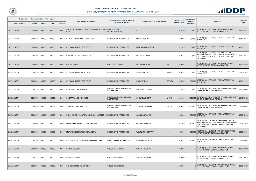

| Registered or other description of the property |               |                |             |                | <b>Full Names of Owner(s)</b>                                    | Category determined in terms of                     | Physical address of the property             | <b>Extent of the</b> | <b>Market value</b><br>of the | <b>Remarks</b>                                                                                                                                     | <b>Effective</b> |
|-------------------------------------------------|---------------|----------------|-------------|----------------|------------------------------------------------------------------|-----------------------------------------------------|----------------------------------------------|----------------------|-------------------------------|----------------------------------------------------------------------------------------------------------------------------------------------------|------------------|
| <b>Town Allotment</b>                           | <b>Erf Nr</b> | <b>Portion</b> | <b>Unit</b> | <b>Section</b> |                                                                  | Section 8 of the Act                                |                                              | property (HA)        | property                      |                                                                                                                                                    | <b>Date</b>      |
| <b>SWELLENDAM</b>                               | 00006506      | 00000          | 00000       | 0000           | SOUTH AFRICAN NATIONAL ROADS AGENCY SO<br>C LTD                  | <b>PUBLIC SERVICE</b><br><b>INFRASTRUCTURE</b>      |                                              | 0,4185               |                               | SECT 78(1)(c) - SUBDIVIDED OR CONSOLIDATED<br>AFTER THE LAST GENERAL VALUATION                                                                     | 2019/12/11       |
| <b>SWELLENDAM</b>                               | 00006556      | 00000          | 00000       | 0000           | PAULSEN JOHANNES LODEWIKUS                                       | <b>RESIDENTIAL PROPERTIES</b>                       | <b>MAYNIERSTRAAT</b>                         | 0,0290               | 680 000                       | SECT 78(1)(g) - OF WHICH THE CATEGORY HAS<br>CHANGED                                                                                               | 2019/05/16       |
| <b>SWELLENDAM</b>                               | 00006650      | 00000          | 00000       | 0000           | <b>ISTEGMANN SMIT PROP TRUST</b>                                 | <b>RESIDENTIAL PROPERTIES</b>                       | <b>MIKE MULLERSTRAAT</b>                     | 0,1013               | 1 000 000                     | SECT 78(1)(g) - OF WHICH THE CATEGORY HAS<br><b>CHANGED</b>                                                                                        | 2019/11/21       |
| SWELLENDAM                                      | 00006700      | 00000          | 00000       | 0000           | <b>SNYMAN MATTHEUS FRANCIOS</b>                                  | RESIDENTIAL PROPERTIES                              | MURRAYSTRAAT<br>-5                           | 0,0615               | 1 000 000                     | SECT 78(1)(d) - OF WHICH THE MARKET VALUE<br>HAS SUBSTANTIALLY INCREASED OR DECREASED<br>FOR ANY REASON AFTER THE LAST GENERAL<br><b>VALUATION</b> | 2019/12/11       |
| <b>SWELLENDAM</b>                               | 00006703      | 00000          | 00000       | 0000           | <b>COLYN TARYN</b>                                               | <b>CROSS REFERENCE</b>                              | 5A<br><b>MOOLMANSTRAAT</b>                   | 0,0000               |                               | SECT 78(1)(c) - SUBDIVIDED OR CONSOLIDATED\,<br>AFTER THE LAST GENERAL VALUATION                                                                   | 2020/09/18       |
| <b>SWELLENDAM</b>                               | 00006719      | 00000          | 00000       | 0000           | <b>ISTEGMANN SMIT PROP TRUST</b>                                 | <b>RESIDENTIAL PROPERTIES</b>                       | SWELLENDAM<br><b>ERF 671</b>                 | 0.0755               | 1 000 000                     | $\left \mathsf{SECTION}\ 78(1)(g)\right $ - OF WHICH THE CATEGORY HAS<br><b>CHANGED</b>                                                            | 2019/07/16       |
| <b>SWELLENDAM</b>                               | 00006720      | 00000          | 00000       | 0000           | STEGMANN SMIT PROP TRUST                                         | RESIDENTIAL PROPERTIES                              | <b>SWELLENDAM</b><br><b>ERF 672</b>          | 0,0755               | 1 000 000                     | SECT 78(1)(g) - OF WHICH THE CATEGORY HAS<br><b>CHANGED</b>                                                                                        | 2019/11/21       |
| SWELLENDAM                                      | 00006776      | 00000          | 00000       | 0000           | <b>SENTRAAL SUID KOOP LTD</b>                                    | <b>BUSINESS AND COMMERCIAL</b><br><b>PROPERTIES</b> | <b>VOORTREKSTRAAT</b>                        | 1,7240               | 1 0 0 0                       | SECT 78(1)(f) - THAT MUST BE REVALUED FOR ANY<br>OTHER EXCEPTIONAL REASON                                                                          | 2019/05/22       |
| <b>SWELLENDAM</b>                               | 00006776      | 00000          | 00001       | 0000           | SENTRAAL SUID KOOP LTD                                           | <b>BUSINESS AND COMMERCIAL</b><br><b>PROPERTIES</b> | <b>ISS SWELLEN MARK</b><br>UNIT <sub>1</sub> | 0,1600               |                               | 3 100 000 SECT 78(1)(f) - THAT MUST BE REVALUED FOR ANY                                                                                            | 2019/05/22       |
| SWELLENDAM                                      | 00006776      | 00000          | 00002       | 0000           | <b>ISWELLEN MARK PTY LTD</b>                                     | <b>BUSINESS AND COMMERCIAL</b><br>PROPERTIES        | <b>SS SWELLEN MARK</b><br>UNIT <sub>2</sub>  | 0,9212               | 16 200 000                    | SECT 78(1)(f) - THAT MUST BE REVALUED FOR ANY<br>OTHER EXCEPTIONAL REASON                                                                          | 2019/05/22       |
| <b>SWELLENDAM</b>                               | 00006799      | 00000          | 00000       | 0000           | ROUX HENDRIK LOURENS LE / ROUX SARETTE LE RESIDENTIAL PROPERTIES |                                                     | <b>GLEN BARRYWEG</b>                         | 0,0996               | 1 800 000                     | SECT 78(1)(g) - OF WHICH THE CATEGORY HAS<br><b>CHANGED</b>                                                                                        | 2020/12/03       |
| SWELLENDAM                                      | 00006800      | 00000          | 00000       | 0000           | MERWE ELIZABETH JACOBA VAN DER                                   | <b>RESIDENTIAL PROPERTIES</b>                       | <b>GLEN BARRYWEG</b>                         | 0,1089               | 1 100 00                      | SECT 78(1)(d) - OF WHICH THE MARKET VALUE<br>HAS SUBSTANTIALLY INCREASED OR DECREASED<br>FOR ANY REASON AFTER THE LAST GENERAL<br>VALUATION        | 2019/11/25       |
| <b>SWELLENDAM</b>                               | 00006875      | 00000          | 00000       | 0000           | MERWE WILLEM JACOBUS VAN DER                                     | <b>RESIDENTIAL PROPERTIES</b>                       | 12<br><b>WELTEVREDESTRAAT</b>                | 0,0990               |                               | SECT 78(1)(c) - SUBDIVIDED OR CONSOLIDATED<br>600 000 AFTER THE LAST GENERAL VALUATION                                                             | 2020/10/01       |
| SWELLENDAM                                      | 00007296      | 00000          | 00000       | 0000           | PROVINCIAL GOVERNMENT-WESTERN CAPE                               | PUBLIC SERVICE PURPOSES                             | REISIEBAANSTRAAT                             | 0,0877               | 900 000                       | SECT 78(1)(g) - OF WHICH THE CATEGORY HAS<br>CHANGED                                                                                               | 2021/04/01       |
| <b>SWELLENDAM</b>                               | 00007322      | 00000          | 00000       | 0000           | <b>DAVIDS JOSEPH</b>                                             | <b>CROSS REFERENCE</b>                              | <b>SOUFIETJIESTRAAT</b>                      | 0,0000               |                               | SECT 78(1)(c) - SUBDIVIDED OR CONSOLIDATED<br>AFTER THE LAST GENERAL VALUATION                                                                     | 2020/10/26       |
| SWELLENDAM                                      | 00007323      | 00000          | 00000       | 0000           | <b>DAVIDS JOSEPH</b>                                             | <b>CROSS REFERENCE</b>                              | SOUFIETJIESTRAAT                             | 0,0000               |                               | SECT 78(1)(c) - SUBDIVIDED OR CONSOLIDATED<br>AFTER THE LAST GENERAL VALUATION                                                                     | 2020/10/26       |
| <b>SWELLENDAM</b>                               | 00007324      | 00000          | 00000       | 0000           | CONSOLIDATED TO ERF 8247                                         | <b>CROSS REFERENCE</b>                              |                                              | 0,0000               |                               | SECT 78(1)(c) - SUBDIVIDED OR CONSOLIDATED,<br>AFTER THE LAST GENERAL VALUATION                                                                    | 2020/10/26       |

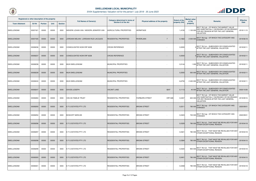

| Registered or other description of the property |               |                |             |                |                                          | Category determined in terms of |                                  | <b>Extent of the</b>     | <b>Market value</b> |                                                                                                                                             | <b>Effective</b> |
|-------------------------------------------------|---------------|----------------|-------------|----------------|------------------------------------------|---------------------------------|----------------------------------|--------------------------|---------------------|---------------------------------------------------------------------------------------------------------------------------------------------|------------------|
| <b>Town Allotment</b>                           | <b>Erf Nr</b> | <b>Portion</b> | <b>Unit</b> | <b>Section</b> | <b>Full Names of Owner(s)</b>            | Section 8 of the Act            | Physical address of the property | property (HA)            | of the<br>property  | <b>Remarks</b>                                                                                                                              | <b>Date</b>      |
| SWELLENDAM                                      | 00007421      | 00000          | 00000       | 0000           | NIEKERK JOHAN VAN / NIEKERK JENNIFER VAN | <b>AGRICULTURAL PROPERTIES</b>  | <b>HERMITAGE</b>                 | 1,4150                   | 1 100 000           | SECT 78(1)(d) - OF WHICH THE MARKET VALUE<br>HAS SUBSTANTIALLY INCREASED OR DECREASED<br>FOR ANY REASON AFTER THE LAST GENERAL<br>VALUATION | 2019/11/15       |
| <b>SWELLENDAM</b>                               | 00007435      | 00000          | 00000       | 0000           | JORDAAN MELANI / JORDAAN RUDI JACQUES    | <b>RESIDENTIAL PROPERTIES</b>   | <b>RIVIERLAAN</b><br>7           | 0,1662                   | 2 000 000           | SECT 78(1)(g) - OF WHICH THE CATEGORY HAS<br><b>CHANGED</b>                                                                                 | 2019/06/18       |
| SWELLENDAM                                      | 00008236      | 00000          | 00000       | 0000           | CONSOLIDATED NOW ERF 8238                | <b>CROSS REFERENCE</b>          |                                  | 0,0000                   |                     | SECT 78(1)(c) - SUBDIVIDED OR CONSOLIDATED<br>AFTER THE LAST GENERAL VALUATION                                                              | 2019/02/11       |
| <b>SWELLENDAM</b>                               | 00008237      | 00000          | 00000       | 0000           | <b>CONSOLIDATED NOW ERF 8238</b>         | <b>CROSS REFERENCE</b>          |                                  | 0,0000                   |                     | $\alpha$ SECT 78(1)(c) - SUBDIVIDED OR CONSOLIDATED<br>AFTER THE LAST GENERAL VALUATION                                                     | 2019/02/11       |
| SWELLENDAM                                      | 00008238      | 00000          | 00000       | 0000           | <b>MUN SWELLENDAM</b>                    | <b>MUNICIPAL PROPERTIES</b>     | $\overline{\phantom{a}}$         | 0,0144                   |                     | 1 000 SECT 78(1)(c) - SUBDIVIDED OR CONSOLIDATED<br>AFTER THE LAST GENERAL VALUATION                                                        | 2019/02/11       |
| <b>SWELLENDAM</b>                               | 00008239      | 00000          | 00000       | 0000           | <b>MUN SWELLENDAM</b>                    | <b>MUNICIPAL PROPERTIES</b>     |                                  | 0,2555                   |                     | 550 000 SECT 78(1)(c) - SUBDIVIDED OR CONSOLIDATED<br>550 000 AFTER THE LAST GENERAL VALUATION                                              | 2019/02/11       |
| SWELLENDAM                                      | 00008240      | 00000          | 00000       | 0000           | <b>MUN SWELLENDAM</b>                    | <b>MUNICIPAL PROPERTIES</b>     |                                  | 6,6750                   |                     | 2 400 000 SECT 78(1)(c) - SUBDIVIDED OR CONSOLIDATED<br>AFTER THE LAST GENERAL VALUATION                                                    | 2019/02/11       |
| <b>SWELLENDAM</b>                               | 00008247      | 00000          | 00000       | 0000           | <b>DAVIDS JOSEPH</b>                     | <b>VACANT LAND</b>              | 8247                             | 0,1113                   |                     | 40 000 SECT 78(1)(c) - SUBDIVIDED OR CONSOLIDATED<br>AFTER THE LAST GENERAL VALUATION                                                       | 2020/10/26       |
| <b>SWELLENDAM</b>                               | 00008284      | 00000          | 00000       | 0000           | VAN AS FAMILIE TRUST                     | <b>RESIDENTIAL PROPERTIES</b>   | <b>FAIRBURN STREET</b>           | <b>ERF 828</b><br>0,0457 | 600 000             | SECT 78(1)(d) - OF WHICH THE MARKET VALUE<br>HAS SUBSTANTIALLY INCREASED OR DECREASED<br>FOR ANY REASON AFTER THE LAST GENERAL<br>VALUATION | 2019/09/16       |
| <b>SWELLENDAM</b>                               | 00008293      | 00000          | 00000       | 0000           | <b>E F G ESTATES PTY LTD</b>             | <b>RESIDENTIAL PROPERTIES</b>   | <b>BRONN STREET</b>              | 0,0311                   | 780 000             | $\vert$ SECT 78(1)(g) - OF WHICH THE CATEGORY HAS<br><b>CHANGED</b>                                                                         | 2020/09/01       |
| <b>SWELLENDAM</b>                               | 00008294      | 00000          | 00000       | 0000           | <b>BOSHOFF MARLISE</b>                   | <b>RESIDENTIAL PROPERTIES</b>   | <b>BRONN STREET</b>              | 0,0323                   |                     | 700 000 SECT 78(1)(g) - OF WHICH THE CATEGORY HAS<br><b>CHANGED</b>                                                                         | 2020/09/01       |
| <b>SWELLENDAM</b>                               | 00008296      | 00000          | 00000       | 0000           | <b>E F G ESTATES PTY LTD</b>             | <b>RESIDENTIAL PROPERTIES</b>   | <b>BRONN STREET</b>              | 0,0329                   |                     | 780 000 SECT 78(1)(f) - THAT MUST BE REVALUED FOR ANY<br>OTHER EXCEPTIONAL REASON                                                           | 2019/04/18       |
| SWELLENDAM                                      | 00008297      | 00000          | 00000       | 0000           | <b>E F G ESTATES PTY LTD</b>             | <b>RESIDENTIAL PROPERTIES</b>   | <b>BRONN STREET</b>              | 0,0321                   |                     | SECT 78(1)(f) - THAT MUST BE REVALUED FOR ANY<br>780 000 OTHER EXCEPTIONAL REASON                                                           | 2019/04/18       |
| <b>SWELLENDAM</b>                               | 00008298      | 00000          | 00000       | 0000           | IE F G ESTATES PTY LTD                   | <b>RESIDENTIAL PROPERTIES</b>   | <b>BRONN STREET</b>              | 0,0384                   |                     | 780 000 SECT 78(1)(f) - THAT MUST BE REVALUED FOR ANY<br>OTHER EXCEPTIONAL REASON                                                           | 2019/04/10       |
| <b>SWELLENDAM</b>                               | 00008299      | 00000          | 00000       | 0000           | <b>E F G ESTATES PTY LTD</b>             | <b>RESIDENTIAL PROPERTIES</b>   | <b>BRONN STREET</b>              | 0,0420                   | 900 000             | SECT 78(1)(f) - THAT MUST BE REVALUED FOR ANY<br> OTHER EXCEPTIONAL REASON                                                                  | 2019/04/18       |
| <b>SWELLENDAM</b>                               | 00008300      | 00000          | 00000       | 0000           | <b>E F G ESTATES PTY LTD</b>             | <b>RESIDENTIAL PROPERTIES</b>   | <b>BRONN STREET</b>              | 0,0401                   |                     | 780 000 SECT 78(1)(f) - THAT MUST BE REVALUED FOR ANY<br>OTHER EXCEPTIONAL REASON                                                           | 2019/04/10       |
| SWELLENDAM                                      | 00008301      | 00000          | 00000       | 0000           | <b>E F G ESTATES PTY LTD</b>             | <b>RESIDENTIAL PROPERTIES</b>   | <b>BRONN STREET</b>              | 0,0358                   | 780 000             | SECT 78(1)(f) - THAT MUST BE REVALUED FOR ANY<br>OTHER EXCEPTIONAL REASON                                                                   | 2019/04/18       |

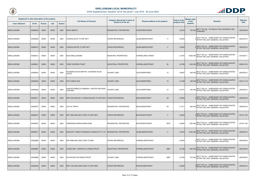

|                   | Registered or other description of the property<br><b>Town Allotment</b><br><b>Erf Nr</b><br><b>Portion</b><br><b>Unit</b><br><b>Section</b> |       | <b>Full Names of Owner(s)</b> | Category determined in terms of<br><b>Section 8 of the Act</b> | Physical address of the property                                   | <b>Extent of the</b><br>property (HA) | <b>Market value</b><br>of the | <b>Remarks</b> | <b>Effective</b><br><b>Date</b> |                                                                                                |            |
|-------------------|----------------------------------------------------------------------------------------------------------------------------------------------|-------|-------------------------------|----------------------------------------------------------------|--------------------------------------------------------------------|---------------------------------------|-------------------------------|----------------|---------------------------------|------------------------------------------------------------------------------------------------|------------|
|                   |                                                                                                                                              |       |                               |                                                                |                                                                    |                                       |                               |                | property                        |                                                                                                |            |
| <b>SWELLENDAM</b> | 00008303                                                                                                                                     | 00000 | 00000                         | 0000                                                           | <b>ROUX BENITA</b>                                                 | <b>RESIDENTIAL PROPERTIES</b>         | <b>VOORTREKSTRAAT</b>         | 0,0218         | 750 000                         | )SECT 78(1)(g) - OF WHICH THE CATEGORY HAS<br>CHANGED                                          | 2020/09/29 |
| <b>SWELLENDAM</b> | 00008308                                                                                                                                     | 00000 | 00000                         | 0000                                                           | <b>CONSOLIDATE TO ERF 8377</b>                                     | <b>CROSS REFERENCE</b>                | <b>QUAELBERGSTRAAT</b><br>11  | 0,0000         |                                 | SECT 78(1)(c) - SUBDIVIDED OR CONSOLIDATED<br>AFTER THE LAST GENERAL VALUATION                 | 2020/03/10 |
| <b>SWELLENDAM</b> | 00008310                                                                                                                                     | 00000 | 00000                         | 0000                                                           | CONSOLIDATED TO ERF 8377                                           | <b>CROSS REFERENCE</b>                | <b>QUAELBERGSTRAAT</b><br>11  | 0,0000         |                                 | SECT 78(1)(c) - SUBDIVIDED OR CONSOLIDATED\<br>AFTER THE LAST GENERAL VALUATION                | 2020/03/10 |
| SWELLENDAM        | 00008313                                                                                                                                     | 00000 | 00000                         | 0000                                                           | <b>MUN SWELLENDAM</b>                                              | <b>MUNICIPAL PROPERTIES</b>           | KORINGLAND STREET             | 2,1870         | 9 650 000                       | SECT 78(1)(c) - SUBDIVIDED OR CONSOLIDATED<br>AFTER THE LAST GENERAL VALUATION                 | 2019/02/11 |
| <b>SWELLENDAM</b> | 00008341                                                                                                                                     | 00000 | 00000                         | 0000                                                           | <b>ITWEE RIVIEREN TRUST</b>                                        | <b>INDUSTRIAL PROPERTIES</b>          | 22<br>KORINGLANDSTRAAT        | 0,0758         |                                 | 1 000 000 SECT 78(1)(c) - SUBDIVIDED OR CONSOLIDATED<br>AFTER THE LAST GENERAL VALUATION       | 2020/01/05 |
| <b>SWELLENDAM</b> | 00008344                                                                                                                                     | 00000 | 00000                         | 0000                                                           | KOORZEN DAVID MARTIN / KOORZEN HILDA<br><b>JOYCE</b>               | VACANT LAND                           | 10<br><b>GLEN BARRYWEG</b>    | 0,0837         |                                 | 600 000 SECT 78(1)(c) - SUBDIVIDED OR CONSOLIDATED<br>600 000 AFTER THE LAST GENERAL VALUATION | 2020/08/13 |
| <b>SWELLENDAM</b> | 00008345                                                                                                                                     | 00000 | 00000                         | 0000                                                           | <b>DYK COBUS VAN</b>                                               | <b>VACANT LAND</b>                    | <b>GLEN BARRYWEG</b><br>10    | 0,1039         |                                 | 400 000 SECT 78(1)(c) - SUBDIVIDED OR CONSOLIDATED<br>400 000 AFTER THE LAST GENERAL VALUATION | 2019/11/19 |
| SWELLENDAM        | 00008346                                                                                                                                     | 00000 | 00000                         | 0000                                                           | HUNTER REBECCA AMANDA / HUNTER ANTHONY<br><b>STEPHEN</b>           | VACANT LAND                           | <b>GLEN BARRYWEG</b><br>10    | 0,0747         |                                 | 400 000 SECT 78(1)(c) - SUBDIVIDED OR CONSOLIDATED<br>AFTER THE LAST GENERAL VALUATION         | 2020/08/13 |
| <b>SWELLENDAM</b> | 00008371                                                                                                                                     | 00000 | 00000                         | 0000                                                           | ERF 6703 AND 8371 CONSOLIDATED TO ERF 8372 CROSS REFERENCE         |                                       | 5A<br><b>MOOLMANSTRAAT</b>    | 0,0000         |                                 | $_{\circ}$ SECT 78(1)(c) - SUBDIVIDED OR CONSOLIDATED<br>AFTER THE LAST GENERAL VALUATION      | 2020/09/18 |
| SWELLENDAM        | 00008372                                                                                                                                     | 00000 | 00000                         | 0000                                                           | <b>COLYN TARYN</b>                                                 | <b>RESIDENTIAL PROPERTIES</b>         | 5A<br>MOOLMANSTRAAT           | 0,1371         | 800 000                         | SECT 78(1)(c) - SUBDIVIDED OR CONSOLIDATED<br>AFTER THE LAST GENERAL VALUATION                 | 2020/09/18 |
| <b>SWELLENDAM</b> | 00008373                                                                                                                                     | 00000 | 00000                         | 0000                                                           | ERF 5392 AND 8373 CONS TO ERF 8375                                 | <b>CROSS REFERENCE</b>                | BUITEKANTSTRAAT<br>11         | 0,0000         |                                 | SECT 78(1)(c) - SUBDIVIDED OR CONSOLIDATED<br>AFTER THE LAST GENERAL VALUATION                 | 2019/11/05 |
| SWELLENDAM        | 00008375                                                                                                                                     | 00000 | 00000                         | 0000                                                           | HARRISSON MARIA MADELEINE                                          | <b>RESIDENTIAL PROPERTIES</b>         | 8375<br>BUITEKANTSTRAAT       | 0,0000         | 1 200 000                       | SECT 78(1)(c) - SUBDIVIDED OR CONSOLIDATED<br>AFTER THE LAST GENERAL VALUATION                 | 2019/11/05 |
| <b>SWELLENDAM</b> | 00008377                                                                                                                                     | 00000 | 00000                         | 0000                                                           | BOSHOFF VISSER FINANSIELE DIENSTE PTY LTD   RESIDENTIAL PROPERTIES |                                       | <b>QUAELBERGSTRAAT</b><br>11  | 0,3475         |                                 | SECT 78(1)(c) - SUBDIVIDED OR CONSOLIDATED<br>2 000 000 AFTER THE LAST GENERAL VALUATION       | 2020/03/10 |
| SWELLENDAM        | 00008386                                                                                                                                     | 00000 | 00000                         | 0000                                                           | ERF 8386 AND 2290 CONS TO 8387                                     | <b>CROSS REFERENCE</b>                | KORINGLANDSTRAAT              | 0,0000         |                                 | SECT 78(1)(c) - SUBDIVIDED OR CONSOLIDATED<br>AFTER THE LAST GENERAL VALUATION                 | 2020/09/23 |
| <b>SWELLENDAM</b> | 00008387                                                                                                                                     | 00000 | 00000                         | 0000                                                           | JOHAN AND CHRISTELLE FAMILIETRUST                                  | <b>INDUSTRIAL PROPERTIES</b>          | 8387<br>KORINGLANDSTRAAT      | 0,2158         |                                 | 1 500 000 SECT 78(1)(c) - SUBDIVIDED OR CONSOLIDATED<br>AFTER THE LAST GENERAL VALUATION       | 2020/09/23 |
| SWELLENDAM        | 00008388                                                                                                                                     | 00000 | 00000                         | 0000                                                           | W M MCKELVIN FAMILIETRUST                                          | <b>VACANT LAND</b>                    | 8387<br>KORINGLANDSTRAAT      | 0,2706         | 570 000                         | SECT 78(1)(c) - SUBDIVIDED OR CONSOLIDATED<br>AFTER THE LAST GENERAL VALUATION                 | 2020/09/23 |
| <b>SWELLENDAM</b> | 00008449                                                                                                                                     | 00000 | 00000                         | 0000                                                           | ERF 5166 AND 8449 CONS TO ERF 8459                                 | <b>CROSS REFERENCE</b>                | <b>PRODUKSIESTRAAT</b>        | 0,0000         |                                 | SECT 78(1)(c) - SUBDIVIDED OR CONSOLIDATED,<br>AFTER THE LAST GENERAL VALUATION                | 2020/03/10 |

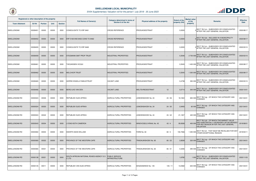

| Registered or other description of the property<br><b>Town Allotment</b><br><b>Erf Nr</b><br><b>Portion</b><br><b>Unit</b> |          | <b>Section</b> | <b>Full Names of Owner(s)</b> | Category determined in terms of<br><b>Section 8 of the Act</b> | Physical address of the property                |                                                | <b>Extent of the</b><br>property (HA) | <b>Market value</b><br>of the<br>property | <b>Remarks</b> | <b>Effective</b><br><b>Date</b> |                                                                                                                                                    |            |
|----------------------------------------------------------------------------------------------------------------------------|----------|----------------|-------------------------------|----------------------------------------------------------------|-------------------------------------------------|------------------------------------------------|---------------------------------------|-------------------------------------------|----------------|---------------------------------|----------------------------------------------------------------------------------------------------------------------------------------------------|------------|
| <b>SWELLENDAM</b>                                                                                                          | 00008451 | 00000          | 00000                         | 0000                                                           | <b>CONSOLIDATE TO ERF 8461</b>                  | <b>CROSS REFERENCE</b>                         | PRODUKSIESTRAAT                       |                                           | 0,0000         |                                 | $\sqrt{\text{SECT}}$ 78(1)(c) - SUBDIVIDED OR CONSOLIDATED<br>AFTER THE LAST GENERAL VALUATION                                                     | 2020/08/17 |
| <b>SWELLENDAM</b>                                                                                                          | 00008452 | 00000          | 00000                         | 0000                                                           | <b>ERF 5169 AND 8452 CONS TO 8462</b>           | <b>CROSS REFERENCE</b>                         | PRODUKSIESTRAAT                       |                                           | 0,0000         |                                 | $\alpha$ SECT 78(1)(b) - INCLUDED IN A MUNICIPALITY<br>AFTER THE LAST GENERAL VALUATION                                                            | 2020/08/17 |
| <b>SWELLENDAM</b>                                                                                                          | 00008455 | 00000          | 00000                         | 0000                                                           | CONSOLIDATE TO ERF 8465                         | <b>CROSS REFERENCE</b>                         | PRODUKSIESTRAAT                       |                                           | 0,0000         |                                 | SECT 78(1)(c) - SUBDIVIDED OR CONSOLIDATED<br>AFTER THE LAST GENERAL VALUATION                                                                     | 2020/03/10 |
| <b>SWELLENDAM</b>                                                                                                          | 00008459 | 00000          | 00000                         | 0000                                                           | <b>ISTEGMANN SMIT PROP TRUST</b>                | <b>INDUSTRIAL PROPERTIES</b>                   | PRODUKSIESTRAAT                       |                                           | 0,3546         |                                 | 2 700 000 SECT 78(1)(c) - SUBDIVIDED OR CONSOLIDATED<br>AFTER THE LAST GENERAL VALUATION                                                           | 2020/03/10 |
| SWELLENDAM                                                                                                                 | 00008461 | 00000          | 00000                         | 0000                                                           | <b>THEUNISSEN VICQUI</b>                        | <b>INDUSTRIAL PROPERTIES</b>                   | PRODUKSIESTRAAT                       |                                           | 0,3545         |                                 | 1 400 000 SECT 78(1)(c) - SUBDIVIDED OR CONSOLIDATED<br>AFTER THE LAST GENERAL VALUATION                                                           | 2020/08/17 |
| <b>SWELLENDAM</b>                                                                                                          | 00008462 | 00000          | 00000                         | 0000                                                           | <b>MELCHIOR TRUST</b>                           | <b>INDUSTRIAL PROPERTIES</b>                   | PRODUKSIESTRAAT                       |                                           | 0,3545         | 1 300 000                       | SECT 78(1)(c) - SUBDIVIDED OR CONSOLIDATED<br>AFTER THE LAST GENERAL VALUATION                                                                     | 2020/08/17 |
| SWELLENDAM                                                                                                                 | 00008465 | 00000          | 00000                         | 0000                                                           | <b>GERRIE ENGELA FAMILIETRUST</b>               | <b>VACANT LAND</b>                             | PRODUKSIESTRAAT                       |                                           | 0,4738         | 350 000                         | SECT 78(1)(c) - SUBDIVIDED OR CONSOLIDATED<br>AFTER THE LAST GENERAL VALUATION                                                                     | 2020/03/10 |
| <b>SWELLENDAM</b>                                                                                                          | 00008466 | 00000          | 00000                         | 0000                                                           | <b>BERG ILKE VAN DEN</b>                        | <b>VACANT LAND</b>                             | <b>WELTEVREDESTRAAT</b>               | 12                                        | 0,0714         |                                 | 300 000 SECT 78(1)(c) - SUBDIVIDED OR CONSOLIDATED<br>AFTER THE LAST GENERAL VALUATION                                                             | 2020/10/01 |
| <b>SWELLENDAM RD</b>                                                                                                       | 00000024 | 00026          | 00000                         | 0000                                                           | <b>REPUBLIEK SUID-AFRIKA</b>                    | <b>AGRICULTURAL PROPERTIES</b>                 | LEMOENSHOEK No. 24                    | 24/26                                     | 18,1842        | 650 000                         | SECT 78(1)(g) - OF WHICH THE CATEGORY HAS<br><b>CHANGED</b>                                                                                        | 2021/04/01 |
| <b>SWELLENDAM RD</b>                                                                                                       | 00000024 | 00030          | 00000                         | 0000                                                           | <b>REPUBLIEK SUID-AFRIKA</b>                    | AGRICULTURAL PROPERTIES                        | LEMOENSHOEK No. 24                    | 24/30                                     | 2,9493         |                                 | 60 000 SECT 78(1)(g) - OF WHICH THE CATEGORY HAS                                                                                                   | 2021/04/01 |
| <b>SWELLENDAM RD</b>                                                                                                       | 00000024 | 00042          | 00000                         | 0000                                                           | <b>REPUBLIEK SUID-AFRIKA</b>                    | <b>AGRICULTURAL PROPERTIES</b>                 | LEMOENSHOEK No. 24                    | 24/42                                     | 21,1307        | 420 000                         | SECT 78(1)(g) - OF WHICH THE CATEGORY HAS<br>CHANGED                                                                                               | 2021/04/01 |
| <b>SWELLENDAM RD</b>                                                                                                       | 00000043 | 00004          | 00000                         | 0000                                                           | <b>LYONS KEITH CAMERON</b>                      | AGRICULTURAL PROPERTIES                        | WINDVOGELS KRAAL No. 43               | 43/4                                      | 59,9308        | 400 00                          | SECT 78(1)(d) - OF WHICH THE MARKET VALUE<br>HAS SUBSTANTIALLY INCREASED OR DECREASED<br>FOR ANY REASON AFTER THE LAST GENERAL<br><b>VALUATION</b> | 2019/08/01 |
| <b>SWELLENDAM RD</b>                                                                                                       | 00000060 | 00004          | 00000                         | 0000                                                           | <b>SWARTS SEAN WILLIAM</b>                      | <b>AGRICULTURAL PROPERTIES</b>                 | FARM No. 60                           | 60/4                                      | 150,7066       | 1 250 000                       | SECT 78(1)(f) - THAT MUST BE REVALUED FOR ANY<br>OTHER EXCEPTIONAL REASON                                                                          | 2019/03/11 |
| <b>SWELLENDAM RD</b>                                                                                                       | 00000065 | 00022          | 00000                         | 0000                                                           | <b>PROVINCE OF THE WESTERN CAPE</b>             | AGRICULTURAL PROPERTIES                        | <b>TRADAUWSHOEK No. 65</b>            | 65/22                                     | 2,8508         | 320 000                         | SECT 78(1)(g) - OF WHICH THE CATEGORY HAS<br><b>CHANGED</b>                                                                                        | 2021/04/01 |
| <b>SWELLENDAM RD</b>                                                                                                       | 00000065 | 00031          | 00000                         | 0000                                                           | <b>PROVINCE OF THE WESTERN CAPE</b>             | AGRICULTURAL PROPERTIES                        | TRADAUWSHOEK No. 65                   | 65 / 31                                   | 0,4256         | 290 000                         | SECT 78(1)(g) - OF WHICH THE CATEGORY HAS<br><b>CHANGED</b>                                                                                        | 2021/04/01 |
| <b>SWELLENDAM RD</b>                                                                                                       | 00000138 | 00021          | 00000                         | 0000                                                           | SOUTH AFRICAN NATIONAL ROADS AGENCY SO<br>C LTD | <b>PUBLIC SERVICE</b><br><b>INFRASTRUCTURE</b> |                                       |                                           | 1,6782         |                                 | 1 000 SECT 78(1)(c) - SUBDIVIDED OR CONSOLIDATED<br>1 000 AFTER THE LAST GENERAL VALUATION                                                         | 2020/11/03 |
| <b>SWELLENDAM RD</b>                                                                                                       | 00000145 | 00011          | 00000                         | 0000                                                           | REPUBLIEK VAN SUID-AFRIKA                       | AGRICULTURAL PROPERTIES                        | EENZAAMHEID No. 145                   | 145/11                                    | 13,0582        |                                 | 640 000 SECT 78(1)(g) - OF WHICH THE CATEGORY HAS<br><b>CHANGED</b>                                                                                | 2021/04/01 |

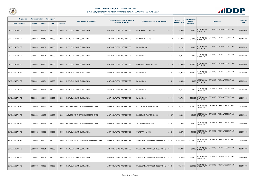

| Registered or other description of the property<br><b>Town Allotment</b><br><b>Erf Nr</b><br><b>Unit</b><br><b>Portion</b><br><b>Section</b> |          |       |       | <b>Full Names of Owner(s)</b> | Category determined in terms of<br><b>Section 8 of the Act</b> | Physical address of the property | <b>Extent of the</b><br>property (HA)        | <b>Market value</b><br>of the<br>property | <b>Remarks</b> | <b>Effective</b><br><b>Date</b>                                       |            |
|----------------------------------------------------------------------------------------------------------------------------------------------|----------|-------|-------|-------------------------------|----------------------------------------------------------------|----------------------------------|----------------------------------------------|-------------------------------------------|----------------|-----------------------------------------------------------------------|------------|
| <b>SWELLENDAM RD</b>                                                                                                                         | 00000145 | 00012 | 00000 | 0000                          | <b>REPUBLIEK VAN SUID-AFRIKA</b>                               | <b>AGRICULTURAL PROPERTIES</b>   | EENZAAMHEID No. 145<br>145/12                | 2,6007                                    | 13 000         | SECT 78(1)(g) - OF WHICH THE CATEGORY HAS<br>CHANGED                  | 2021/04/01 |
| <b>SWELLENDAM RD</b>                                                                                                                         | 00000145 | 00013 | 00000 | 0000                          | <b>REPUBLIEK VAN SUID-AFRIKA</b>                               | <b>AGRICULTURAL PROPERTIES</b>   | 145/13<br>EENZAAMHEID No. 145                | 124,9775                                  | 620 000        | SECT 78(1)(g) - OF WHICH THE CATEGORY HAS<br>CHANGED                  | 2021/04/01 |
| <b>SWELLENDAM RD</b>                                                                                                                         | 00000146 | 00007 | 00000 | 0000                          | REPUBLIEK VAN SUID-AFRIKA                                      | <b>AGRICULTURAL PROPERTIES</b>   | FARM No. 146<br>146/7                        | 12,2012                                   | 10 000         | SECT 78(1)(g) - OF WHICH THE CATEGORY HAS<br>CHANGED                  | 2021/04/01 |
| <b>SWELLENDAM RD</b>                                                                                                                         | 00000147 | 00001 | 00000 | 0000                          | <b>REPUBLIEK VAN SUID-AFRIKA</b>                               | <b>AGRICULTURAL PROPERTIES</b>   | FARM No. 147<br>147/1                        | 0,8565                                    | 4.00C          | SECT 78(1)(g) - OF WHICH THE CATEGORY HAS<br><b>CHANGED</b>           | 2021/04/01 |
| <b>SWELLENDAM RD</b>                                                                                                                         | 00000149 | 00010 | 00000 | 0000                          | <b>REPUBLIEK VAN SUID-AFRIKA</b>                               | <b>AGRICULTURAL PROPERTIES</b>   | SOMERSET VALE No. 149<br>149/10              | 27,8605                                   | 420 000        | SECT 78(1)(g) - OF WHICH THE CATEGORY HAS<br><b>CHANGED</b>           | 2021/04/01 |
| <b>SWELLENDAM RD</b>                                                                                                                         | 00000151 | 00000 | 00000 | 0000                          | REPUBLIEK VAN SUID-AFRIKA                                      | AGRICULTURAL PROPERTIES          | FARM No. 151<br>151/0                        | 38,9480                                   | 190 000        | SECT 78(1)(g) - OF WHICH THE CATEGORY HAS<br><b>CHANGED</b>           | 2021/04/01 |
| <b>SWELLENDAM RD</b>                                                                                                                         | 00000151 | 00004 | 00000 | 0000                          | REPUBLIEK VAN SUID-AFRIKA                                      | AGRICULTURAL PROPERTIES          | 151/4<br>FARM No. 151                        | 0,8565                                    | 4 0 0 0        | $\vert$ SECT 78(1)(g) - OF WHICH THE CATEGORY HAS<br><b>CHANGED</b>   | 2021/04/01 |
| <b>SWELLENDAM RD</b>                                                                                                                         | 00000151 | 00011 | 00000 | 0000                          | REPUBLIEK VAN SUID-AFRIKA                                      | <b>AGRICULTURAL PROPERTIES</b>   | FARM No. 151<br>151/11                       | 40,4612                                   | 200 000        | SECT 78(1)(g) - OF WHICH THE CATEGORY HAS<br><b>CHANGED</b>           | 2021/04/01 |
| <b>SWELLENDAM RD</b>                                                                                                                         | 00000151 | 00014 | 00000 | 0000                          | <b>REPUBLIEK VAN SUID-AFRIKA</b>                               | <b>AGRICULTURAL PROPERTIES</b>   | FARM No. 151<br>151/14                       | 179,7366                                  | 900 000        | SECT 78(1)(g) - OF WHICH THE CATEGORY HAS<br><b>CHANGED</b>           | 2021/04/01 |
| <b>SWELLENDAM RD</b>                                                                                                                         | 00000156 | 00012 | 00000 | 0000                          | GOVERNMENT OF THE WESTERN CAPE                                 | <b>AGRICULTURAL PROPERTIES</b>   | BAKKELY'S PLAATS No. 156<br>156 / 12         | 0,1874                                    | 1 500 000      | SECT 78(1)(g) - OF WHICH THE CATEGORY HAS<br>CHANGED                  | 2021/04/01 |
| <b>SWELLENDAM RD</b>                                                                                                                         | 00000156 | 00037 | 00000 | 0000                          | GOVERNMENT OF THE WESTERN CAPE                                 | <b>AGRICULTURAL PROPERTIES</b>   | 156 / 37<br>BAKKELY'S PLAATS No. 156         | 0,3014                                    |                | 15 000 SECT 78(1)(g) - OF WHICH THE CATEGORY HAS                      | 2021/04/01 |
| <b>SWELLENDAM RD</b>                                                                                                                         | 00000159 | 00031 | 00000 | 0000                          | GOVERNMENT OF THE WESTERN CAPE                                 | <b>AGRICULTURAL PROPERTIES</b>   | THORNLANDS No. 159<br>159 / 31               | 3,6682                                    | 90 000         | SECT 78(1)(g) - OF WHICH THE CATEGORY HAS<br>CHANGED                  | 2021/04/01 |
| <b>SWELLENDAM RD</b>                                                                                                                         | 00000162 | 00002 | 00000 | 0000                          | <b>REPUBLIEK VAN SUID-AFRIKA</b>                               | AGRICULTURAL PROPERTIES          | <b>OUTSPAN No. 162</b><br>162/2              | 2,6725                                    | 40 000         | $\vert$ SECT 78(1)(g) - OF WHICH THE CATEGORY HAS<br>CHANGED          | 2021/04/01 |
| <b>SWELLENDAM RD</b>                                                                                                                         | 00000169 | 00000 | 00000 | 0000                          | <b>PROVINCIAL GOVERNMENT-WESTERN CAPE</b>                      | AGRICULTURAL PROPERTIES          | SWELLENDAM FOREST RESERVE No. 169 / 0        | 4 018,4600                                |                | 4 000 000 SECT 78(1)(g) - OF WHICH THE CATEGORY HAS<br><b>CHANGED</b> | 2021/04/01 |
| <b>SWELLENDAM RD</b>                                                                                                                         | 00000169 | 00001 | 00000 | 0000                          | REPUBLIEK VAN SUID-AFRIKA                                      | AGRICULTURAL PROPERTIES          | <b>SWELLENDAM FOREST RESERVE No. 169 / 1</b> | 25,3265                                   |                | 30 000 SECT 78(1)(g) - OF WHICH THE CATEGORY HAS                      | 2021/04/01 |
| <b>SWELLENDAM RD</b>                                                                                                                         | 00000169 | 00002 | 00000 | 0000                          | REPUBLIEK VAN SUID-AFRIKA                                      | AGRICULTURAL PROPERTIES          | SWELLENDAM FOREST RESERVE No. 169 / 2        | 130,4435                                  | 650 000        | SECT 78(1)(g) - OF WHICH THE CATEGORY HAS<br><b>CHANGED</b>           | 2021/04/01 |
| <b>SWELLENDAM RD</b>                                                                                                                         | 00000169 | 00003 | 00000 | 0000                          | <b>REPUBLIEK VAN SUID-AFRIKA</b>                               | <b>AGRICULTURAL PROPERTIES</b>   | SWELLENDAM FOREST RESERVE No. 169 / 3        | 189,1532                                  | 950 000        | SECT 78(1)(g) - OF WHICH THE CATEGORY HAS<br>CHANGED                  | 2021/04/01 |